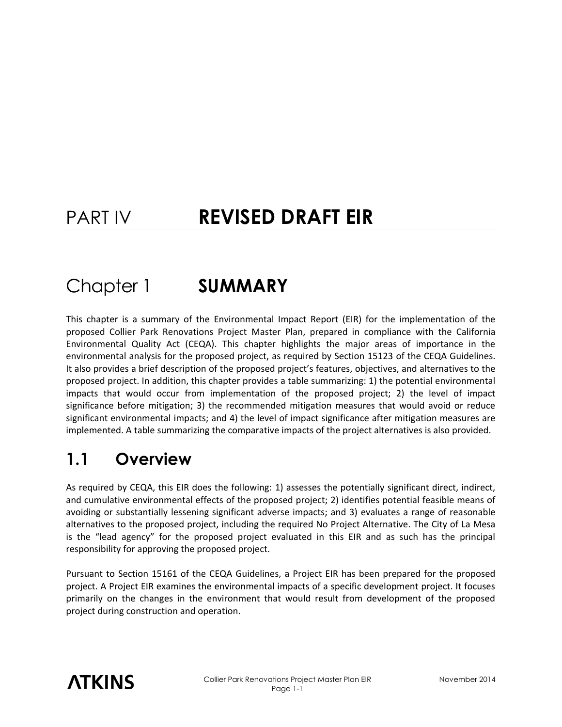# PART IV **REVISED DRAFT EIR**

# Chapter 1 **SUMMARY**

This chapter is a summary of the Environmental Impact Report (EIR) for the implementation of the proposed Collier Park Renovations Project Master Plan, prepared in compliance with the California Environmental Quality Act (CEQA). This chapter highlights the major areas of importance in the environmental analysis for the proposed project, as required by Section 15123 of the CEQA Guidelines. It also provides a brief description of the proposed project's features, objectives, and alternatives to the proposed project. In addition, this chapter provides a table summarizing: 1) the potential environmental impacts that would occur from implementation of the proposed project; 2) the level of impact significance before mitigation; 3) the recommended mitigation measures that would avoid or reduce significant environmental impacts; and 4) the level of impact significance after mitigation measures are implemented. A table summarizing the comparative impacts of the project alternatives is also provided.

## **1.1 Overview**

As required by CEQA, this EIR does the following: 1) assesses the potentially significant direct, indirect, and cumulative environmental effects of the proposed project; 2) identifies potential feasible means of avoiding or substantially lessening significant adverse impacts; and 3) evaluates a range of reasonable alternatives to the proposed project, including the required No Project Alternative. The City of La Mesa is the "lead agency" for the proposed project evaluated in this EIR and as such has the principal responsibility for approving the proposed project.

Pursuant to Section 15161 of the CEQA Guidelines, a Project EIR has been prepared for the proposed project. A Project EIR examines the environmental impacts of a specific development project. It focuses primarily on the changes in the environment that would result from development of the proposed project during construction and operation.

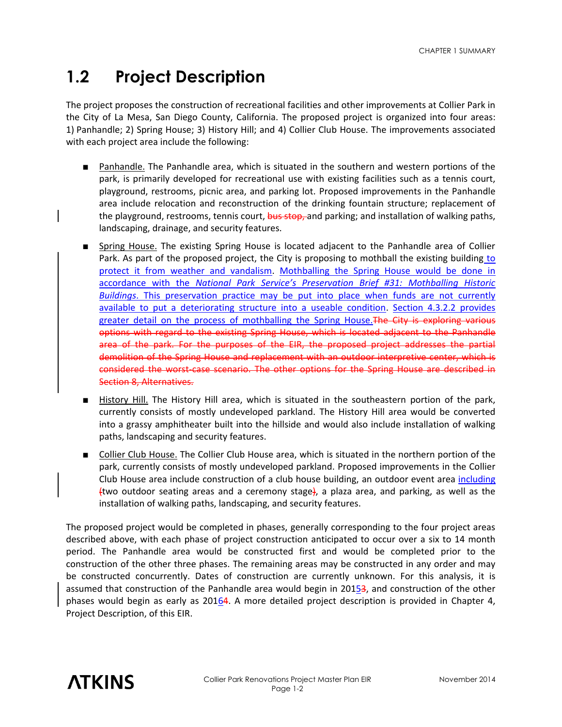## **1.2 Project Description**

The project proposes the construction of recreational facilities and other improvements at Collier Park in the City of La Mesa, San Diego County, California. The proposed project is organized into four areas: 1) Panhandle; 2) Spring House; 3) History Hill; and 4) Collier Club House. The improvements associated with each project area include the following:

- Panhandle. The Panhandle area, which is situated in the southern and western portions of the park, is primarily developed for recreational use with existing facilities such as a tennis court, playground, restrooms, picnic area, and parking lot. Proposed improvements in the Panhandle area include relocation and reconstruction of the drinking fountain structure; replacement of the playground, restrooms, tennis court, bus stop, and parking; and installation of walking paths, landscaping, drainage, and security features.
- Spring House. The existing Spring House is located adjacent to the Panhandle area of Collier Park. As part of the proposed project, the City is proposing to mothball the existing building to protect it from weather and vandalism. Mothballing the Spring House would be done in accordance with the *National Park Service's Preservation Brief #31: Mothballing Historic Buildings*. This preservation practice may be put into place when funds are not currently available to put a deteriorating structure into a useable condition. Section 4.3.2.2 provides greater detail on the process of mothballing the Spring House. The City is exploring various options with regard to the existing Spring House, which is located adjacent to the Panhandle area of the park. For the purposes of the EIR, the proposed project addresses the partial demolition of the Spring House and replacement with an outdoor interpretive center, which is considered the worst-case scenario. The other options for the Spring House are described in Section 8, Alternatives.
- History Hill. The History Hill area, which is situated in the southeastern portion of the park, currently consists of mostly undeveloped parkland. The History Hill area would be converted into a grassy amphitheater built into the hillside and would also include installation of walking paths, landscaping and security features.
- Collier Club House. The Collier Club House area, which is situated in the northern portion of the park, currently consists of mostly undeveloped parkland. Proposed improvements in the Collier Club House area include construction of a club house building, an outdoor event area including  $f_{\text{two}}$  outdoor seating areas and a ceremony stage), a plaza area, and parking, as well as the installation of walking paths, landscaping, and security features.

The proposed project would be completed in phases, generally corresponding to the four project areas described above, with each phase of project construction anticipated to occur over a six to 14 month period. The Panhandle area would be constructed first and would be completed prior to the construction of the other three phases. The remaining areas may be constructed in any order and may be constructed concurrently. Dates of construction are currently unknown. For this analysis, it is assumed that construction of the Panhandle area would begin in 20153, and construction of the other phases would begin as early as 20164. A more detailed project description is provided in Chapter 4, Project Description, of this EIR.

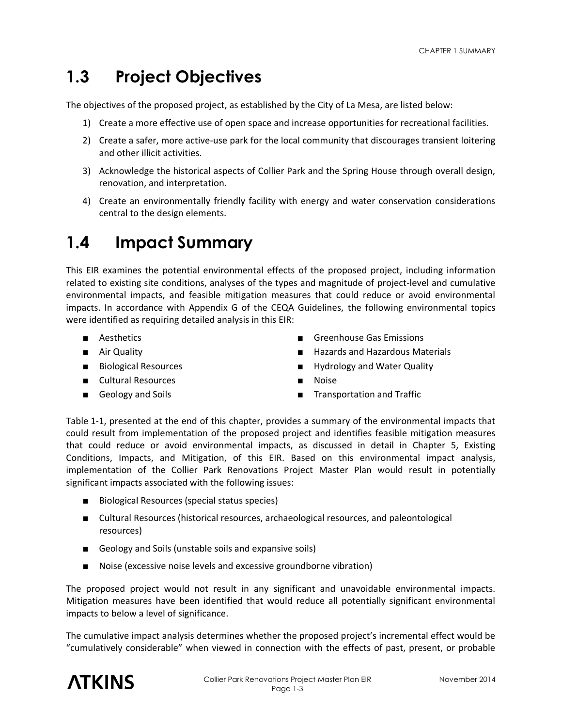## **1.3 Project Objectives**

The objectives of the proposed project, as established by the City of La Mesa, are listed below:

- 1) Create a more effective use of open space and increase opportunities for recreational facilities.
- 2) Create a safer, more active-use park for the local community that discourages transient loitering and other illicit activities.
- 3) Acknowledge the historical aspects of Collier Park and the Spring House through overall design, renovation, and interpretation.
- 4) Create an environmentally friendly facility with energy and water conservation considerations central to the design elements.

## **1.4 Impact Summary**

This EIR examines the potential environmental effects of the proposed project, including information related to existing site conditions, analyses of the types and magnitude of project-level and cumulative environmental impacts, and feasible mitigation measures that could reduce or avoid environmental impacts. In accordance with Appendix G of the CEQA Guidelines, the following environmental topics were identified as requiring detailed analysis in this EIR:

- 
- 
- 
- Cultural Resources Noise
- 
- Aesthetics Greenhouse Gas Emissions
- Air Quality  **Hazards and Hazardous Materials**
- Biological Resources Hydrology and Water Quality
	-
- Geology and Soils Transportation and Traffic

Table 1-1, presented at the end of this chapter, provides a summary of the environmental impacts that could result from implementation of the proposed project and identifies feasible mitigation measures that could reduce or avoid environmental impacts, as discussed in detail in Chapter 5, Existing Conditions, Impacts, and Mitigation, of this EIR. Based on this environmental impact analysis, implementation of the Collier Park Renovations Project Master Plan would result in potentially significant impacts associated with the following issues:

- Biological Resources (special status species)
- Cultural Resources (historical resources, archaeological resources, and paleontological resources)
- Geology and Soils (unstable soils and expansive soils)
- Noise (excessive noise levels and excessive groundborne vibration)

The proposed project would not result in any significant and unavoidable environmental impacts. Mitigation measures have been identified that would reduce all potentially significant environmental impacts to below a level of significance.

The cumulative impact analysis determines whether the proposed project's incremental effect would be "cumulatively considerable" when viewed in connection with the effects of past, present, or probable

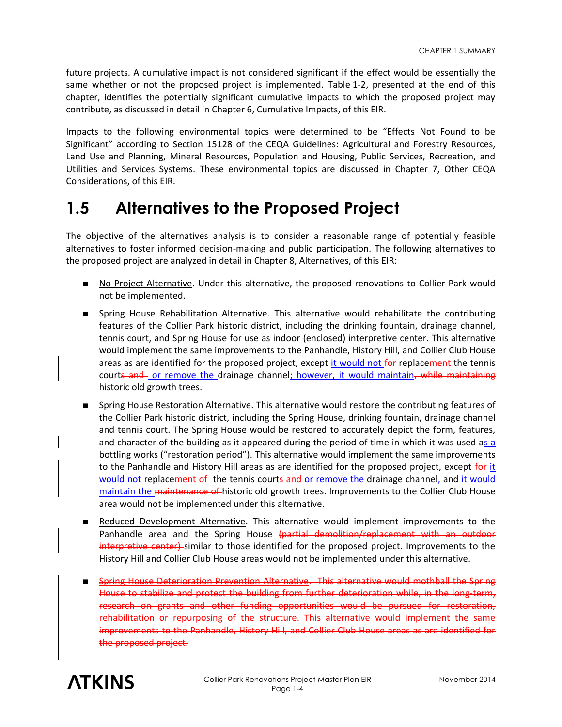future projects. A cumulative impact is not considered significant if the effect would be essentially the same whether or not the proposed project is implemented. Table 1-2, presented at the end of this chapter, identifies the potentially significant cumulative impacts to which the proposed project may contribute, as discussed in detail in Chapter 6, Cumulative Impacts, of this EIR.

Impacts to the following environmental topics were determined to be "Effects Not Found to be Significant" according to Section 15128 of the CEQA Guidelines: Agricultural and Forestry Resources, Land Use and Planning, Mineral Resources, Population and Housing, Public Services, Recreation, and Utilities and Services Systems. These environmental topics are discussed in Chapter 7, Other CEQA Considerations, of this EIR.

### **1.5 Alternatives to the Proposed Project**

The objective of the alternatives analysis is to consider a reasonable range of potentially feasible alternatives to foster informed decision-making and public participation. The following alternatives to the proposed project are analyzed in detail in Chapter 8, Alternatives, of this EIR:

- No Project Alternative. Under this alternative, the proposed renovations to Collier Park would not be implemented.
- Spring House Rehabilitation Alternative. This alternative would rehabilitate the contributing features of the Collier Park historic district, including the drinking fountain, drainage channel, tennis court, and Spring House for use as indoor (enclosed) interpretive center. This alternative would implement the same improvements to the Panhandle, History Hill, and Collier Club House areas as are identified for the proposed project, except it would not for-replacement the tennis courts and or remove the drainage channel; however, it would maintain, while maintaining historic old growth trees.
- Spring House Restoration Alternative. This alternative would restore the contributing features of the Collier Park historic district, including the Spring House, drinking fountain, drainage channel and tennis court. The Spring House would be restored to accurately depict the form, features, and character of the building as it appeared during the period of time in which it was used as a bottling works ("restoration period"). This alternative would implement the same improvements to the Panhandle and History Hill areas as are identified for the proposed project, except for-it would not replacement of the tennis courts and or remove the drainage channel, and it would maintain the maintenance of historic old growth trees. Improvements to the Collier Club House area would not be implemented under this alternative.
- Reduced Development Alternative. This alternative would implement improvements to the Panhandle area and the Spring House (partial demolition/replacement with an outdoor interpretive center) similar to those identified for the proposed project. Improvements to the History Hill and Collier Club House areas would not be implemented under this alternative.
- Spring House Deterioration Prevention Alternative. This alternative would mothball the Spring House to stabilize and protect the building from further deterioration while, in the long-term, research on grants and other funding opportunities would be pursued for restoration, rehabilitation or repurposing of the structure. This alternative would implement the same improvements to the Panhandle, History Hill, and Collier Club House areas as are identified for the proposed project.

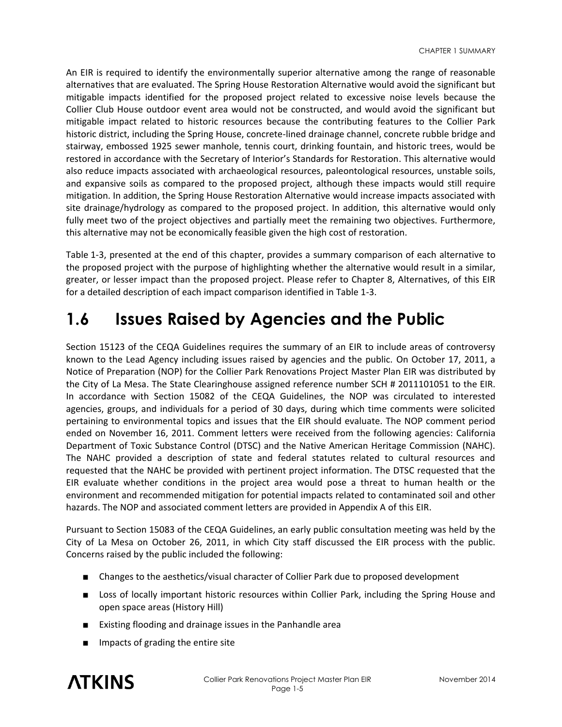An EIR is required to identify the environmentally superior alternative among the range of reasonable alternatives that are evaluated. The Spring House Restoration Alternative would avoid the significant but mitigable impacts identified for the proposed project related to excessive noise levels because the Collier Club House outdoor event area would not be constructed, and would avoid the significant but mitigable impact related to historic resources because the contributing features to the Collier Park historic district, including the Spring House, concrete-lined drainage channel, concrete rubble bridge and stairway, embossed 1925 sewer manhole, tennis court, drinking fountain, and historic trees, would be restored in accordance with the Secretary of Interior's Standards for Restoration. This alternative would also reduce impacts associated with archaeological resources, paleontological resources, unstable soils, and expansive soils as compared to the proposed project, although these impacts would still require mitigation. In addition, the Spring House Restoration Alternative would increase impacts associated with site drainage/hydrology as compared to the proposed project. In addition, this alternative would only fully meet two of the project objectives and partially meet the remaining two objectives. Furthermore, this alternative may not be economically feasible given the high cost of restoration.

Table 1-3, presented at the end of this chapter, provides a summary comparison of each alternative to the proposed project with the purpose of highlighting whether the alternative would result in a similar, greater, or lesser impact than the proposed project. Please refer to Chapter 8, Alternatives, of this EIR for a detailed description of each impact comparison identified in Table 1-3.

### **1.6 Issues Raised by Agencies and the Public**

Section 15123 of the CEQA Guidelines requires the summary of an EIR to include areas of controversy known to the Lead Agency including issues raised by agencies and the public. On October 17, 2011, a Notice of Preparation (NOP) for the Collier Park Renovations Project Master Plan EIR was distributed by the City of La Mesa. The State Clearinghouse assigned reference number SCH # 2011101051 to the EIR. In accordance with Section 15082 of the CEQA Guidelines, the NOP was circulated to interested agencies, groups, and individuals for a period of 30 days, during which time comments were solicited pertaining to environmental topics and issues that the EIR should evaluate. The NOP comment period ended on November 16, 2011. Comment letters were received from the following agencies: California Department of Toxic Substance Control (DTSC) and the Native American Heritage Commission (NAHC). The NAHC provided a description of state and federal statutes related to cultural resources and requested that the NAHC be provided with pertinent project information. The DTSC requested that the EIR evaluate whether conditions in the project area would pose a threat to human health or the environment and recommended mitigation for potential impacts related to contaminated soil and other hazards. The NOP and associated comment letters are provided in Appendix A of this EIR.

Pursuant to Section 15083 of the CEQA Guidelines, an early public consultation meeting was held by the City of La Mesa on October 26, 2011, in which City staff discussed the EIR process with the public. Concerns raised by the public included the following:

- Changes to the aesthetics/visual character of Collier Park due to proposed development
- Loss of locally important historic resources within Collier Park, including the Spring House and open space areas (History Hill)
- Existing flooding and drainage issues in the Panhandle area
- Impacts of grading the entire site

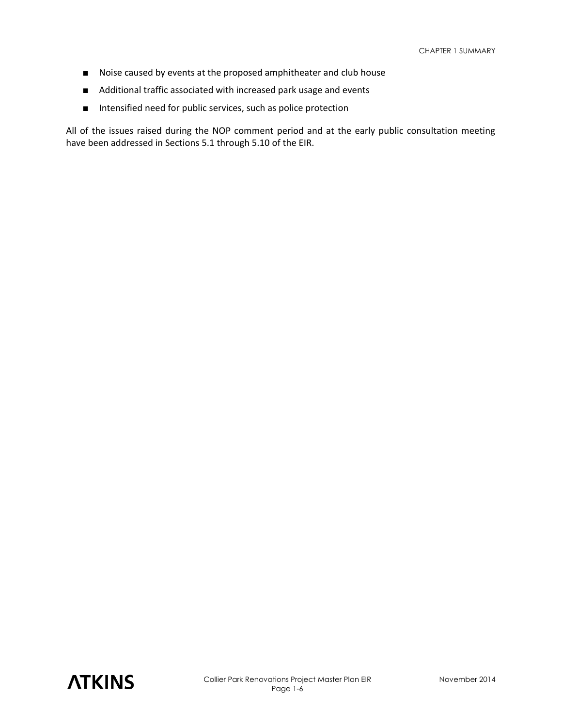- Noise caused by events at the proposed amphitheater and club house
- Additional traffic associated with increased park usage and events
- Intensified need for public services, such as police protection

All of the issues raised during the NOP comment period and at the early public consultation meeting have been addressed in Sections 5.1 through 5.10 of the EIR.

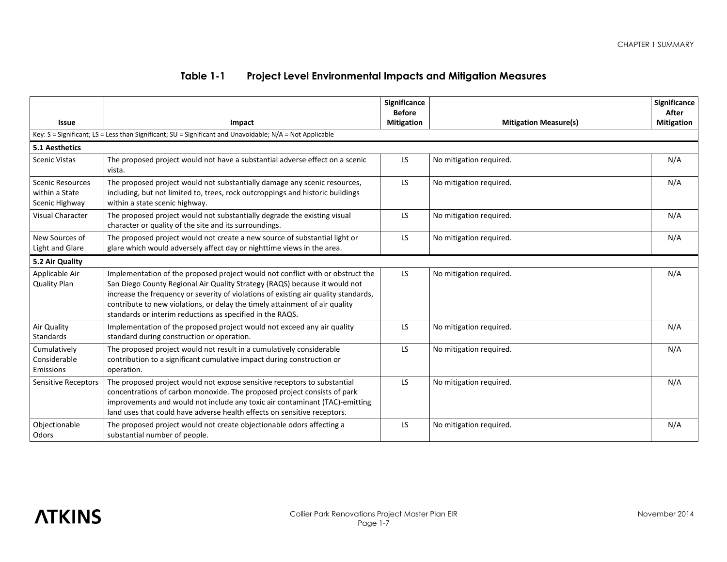### **Table 1-1 Project Level Environmental Impacts and Mitigation Measures**

|                                                             |                                                                                                                                                                                                                                                                                                                                                                                                 | Significance<br><b>Before</b> |                              | Significance<br>After |
|-------------------------------------------------------------|-------------------------------------------------------------------------------------------------------------------------------------------------------------------------------------------------------------------------------------------------------------------------------------------------------------------------------------------------------------------------------------------------|-------------------------------|------------------------------|-----------------------|
| <b>Issue</b>                                                | Impact                                                                                                                                                                                                                                                                                                                                                                                          | <b>Mitigation</b>             | <b>Mitigation Measure(s)</b> | <b>Mitigation</b>     |
|                                                             | Key: $S =$ Significant; LS = Less than Significant; SU = Significant and Unavoidable; N/A = Not Applicable                                                                                                                                                                                                                                                                                      |                               |                              |                       |
| 5.1 Aesthetics                                              |                                                                                                                                                                                                                                                                                                                                                                                                 |                               |                              |                       |
| <b>Scenic Vistas</b>                                        | The proposed project would not have a substantial adverse effect on a scenic<br>vista.                                                                                                                                                                                                                                                                                                          | LS.                           | No mitigation required.      | N/A                   |
| <b>Scenic Resources</b><br>within a State<br>Scenic Highway | The proposed project would not substantially damage any scenic resources,<br>including, but not limited to, trees, rock outcroppings and historic buildings<br>within a state scenic highway.                                                                                                                                                                                                   | LS.                           | No mitigation required.      | N/A                   |
| <b>Visual Character</b>                                     | The proposed project would not substantially degrade the existing visual<br>character or quality of the site and its surroundings.                                                                                                                                                                                                                                                              | LS.                           | No mitigation required.      | N/A                   |
| New Sources of<br>Light and Glare                           | The proposed project would not create a new source of substantial light or<br>glare which would adversely affect day or nighttime views in the area.                                                                                                                                                                                                                                            | LS.                           | No mitigation required.      | N/A                   |
| 5.2 Air Quality                                             |                                                                                                                                                                                                                                                                                                                                                                                                 |                               |                              |                       |
| Applicable Air<br><b>Quality Plan</b>                       | Implementation of the proposed project would not conflict with or obstruct the<br>San Diego County Regional Air Quality Strategy (RAQS) because it would not<br>increase the frequency or severity of violations of existing air quality standards,<br>contribute to new violations, or delay the timely attainment of air quality<br>standards or interim reductions as specified in the RAQS. | LS.                           | No mitigation required.      | N/A                   |
| Air Quality<br>Standards                                    | Implementation of the proposed project would not exceed any air quality<br>standard during construction or operation.                                                                                                                                                                                                                                                                           | LS.                           | No mitigation required.      | N/A                   |
| Cumulatively<br>Considerable<br>Emissions                   | The proposed project would not result in a cumulatively considerable<br>contribution to a significant cumulative impact during construction or<br>operation.                                                                                                                                                                                                                                    | LS.                           | No mitigation required.      | N/A                   |
| <b>Sensitive Receptors</b>                                  | The proposed project would not expose sensitive receptors to substantial<br>concentrations of carbon monoxide. The proposed project consists of park<br>improvements and would not include any toxic air contaminant (TAC)-emitting<br>land uses that could have adverse health effects on sensitive receptors.                                                                                 | LS.                           | No mitigation required.      | N/A                   |
| Objectionable<br>Odors                                      | The proposed project would not create objectionable odors affecting a<br>substantial number of people.                                                                                                                                                                                                                                                                                          | LS.                           | No mitigation required.      | N/A                   |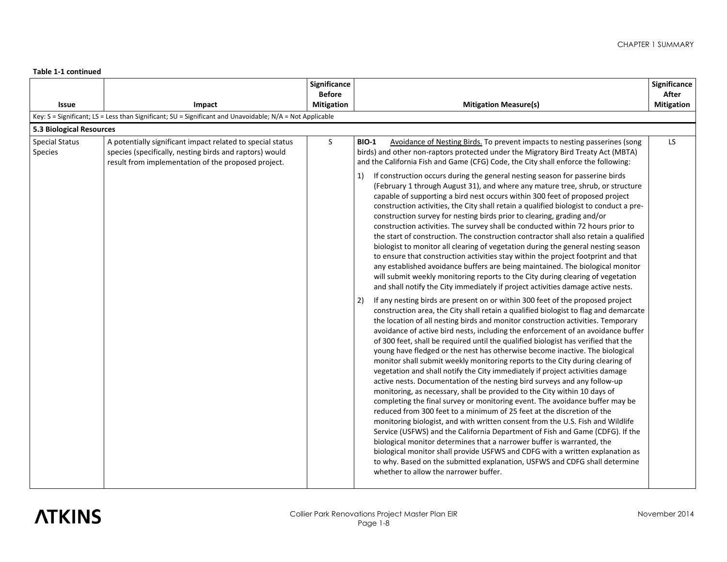|                                         |                                                                                                                                                                              | Significance      |                                                                                                                                                                                                                                                                                                                                                                                                                                                                                                                                                                                                                                                                                                                                                                                                                                                                                                                                                                                                                                                                                                                                                                                                                                                                                                                                                                                                                                                                                                                                                                                                                                                                                                                                                                                                                                                                                                                                                                                                                                                                                                                                                                                                                                                                                                                                                                                                                                                                                                                                                                                                                                                                                                                                                                                           | Significance      |
|-----------------------------------------|------------------------------------------------------------------------------------------------------------------------------------------------------------------------------|-------------------|-------------------------------------------------------------------------------------------------------------------------------------------------------------------------------------------------------------------------------------------------------------------------------------------------------------------------------------------------------------------------------------------------------------------------------------------------------------------------------------------------------------------------------------------------------------------------------------------------------------------------------------------------------------------------------------------------------------------------------------------------------------------------------------------------------------------------------------------------------------------------------------------------------------------------------------------------------------------------------------------------------------------------------------------------------------------------------------------------------------------------------------------------------------------------------------------------------------------------------------------------------------------------------------------------------------------------------------------------------------------------------------------------------------------------------------------------------------------------------------------------------------------------------------------------------------------------------------------------------------------------------------------------------------------------------------------------------------------------------------------------------------------------------------------------------------------------------------------------------------------------------------------------------------------------------------------------------------------------------------------------------------------------------------------------------------------------------------------------------------------------------------------------------------------------------------------------------------------------------------------------------------------------------------------------------------------------------------------------------------------------------------------------------------------------------------------------------------------------------------------------------------------------------------------------------------------------------------------------------------------------------------------------------------------------------------------------------------------------------------------------------------------------------------------|-------------------|
|                                         |                                                                                                                                                                              | <b>Before</b>     |                                                                                                                                                                                                                                                                                                                                                                                                                                                                                                                                                                                                                                                                                                                                                                                                                                                                                                                                                                                                                                                                                                                                                                                                                                                                                                                                                                                                                                                                                                                                                                                                                                                                                                                                                                                                                                                                                                                                                                                                                                                                                                                                                                                                                                                                                                                                                                                                                                                                                                                                                                                                                                                                                                                                                                                           | After             |
| <b>Issue</b>                            | Impact                                                                                                                                                                       | <b>Mitigation</b> | <b>Mitigation Measure(s)</b>                                                                                                                                                                                                                                                                                                                                                                                                                                                                                                                                                                                                                                                                                                                                                                                                                                                                                                                                                                                                                                                                                                                                                                                                                                                                                                                                                                                                                                                                                                                                                                                                                                                                                                                                                                                                                                                                                                                                                                                                                                                                                                                                                                                                                                                                                                                                                                                                                                                                                                                                                                                                                                                                                                                                                              | <b>Mitigation</b> |
|                                         | Key: S = Significant; LS = Less than Significant; SU = Significant and Unavoidable; N/A = Not Applicable                                                                     |                   |                                                                                                                                                                                                                                                                                                                                                                                                                                                                                                                                                                                                                                                                                                                                                                                                                                                                                                                                                                                                                                                                                                                                                                                                                                                                                                                                                                                                                                                                                                                                                                                                                                                                                                                                                                                                                                                                                                                                                                                                                                                                                                                                                                                                                                                                                                                                                                                                                                                                                                                                                                                                                                                                                                                                                                                           |                   |
| 5.3 Biological Resources                |                                                                                                                                                                              |                   |                                                                                                                                                                                                                                                                                                                                                                                                                                                                                                                                                                                                                                                                                                                                                                                                                                                                                                                                                                                                                                                                                                                                                                                                                                                                                                                                                                                                                                                                                                                                                                                                                                                                                                                                                                                                                                                                                                                                                                                                                                                                                                                                                                                                                                                                                                                                                                                                                                                                                                                                                                                                                                                                                                                                                                                           |                   |
| <b>Special Status</b><br><b>Species</b> | A potentially significant impact related to special status<br>species (specifically, nesting birds and raptors) would<br>result from implementation of the proposed project. | S                 | <b>BIO-1</b><br>Avoidance of Nesting Birds. To prevent impacts to nesting passerines (song<br>birds) and other non-raptors protected under the Migratory Bird Treaty Act (MBTA)<br>and the California Fish and Game (CFG) Code, the City shall enforce the following:<br>If construction occurs during the general nesting season for passerine birds<br>1)<br>(February 1 through August 31), and where any mature tree, shrub, or structure<br>capable of supporting a bird nest occurs within 300 feet of proposed project<br>construction activities, the City shall retain a qualified biologist to conduct a pre-<br>construction survey for nesting birds prior to clearing, grading and/or<br>construction activities. The survey shall be conducted within 72 hours prior to<br>the start of construction. The construction contractor shall also retain a qualified<br>biologist to monitor all clearing of vegetation during the general nesting season<br>to ensure that construction activities stay within the project footprint and that<br>any established avoidance buffers are being maintained. The biological monitor<br>will submit weekly monitoring reports to the City during clearing of vegetation<br>and shall notify the City immediately if project activities damage active nests.<br>If any nesting birds are present on or within 300 feet of the proposed project<br>2)<br>construction area, the City shall retain a qualified biologist to flag and demarcate<br>the location of all nesting birds and monitor construction activities. Temporary<br>avoidance of active bird nests, including the enforcement of an avoidance buffer<br>of 300 feet, shall be required until the qualified biologist has verified that the<br>young have fledged or the nest has otherwise become inactive. The biological<br>monitor shall submit weekly monitoring reports to the City during clearing of<br>vegetation and shall notify the City immediately if project activities damage<br>active nests. Documentation of the nesting bird surveys and any follow-up<br>monitoring, as necessary, shall be provided to the City within 10 days of<br>completing the final survey or monitoring event. The avoidance buffer may be<br>reduced from 300 feet to a minimum of 25 feet at the discretion of the<br>monitoring biologist, and with written consent from the U.S. Fish and Wildlife<br>Service (USFWS) and the California Department of Fish and Game (CDFG). If the<br>biological monitor determines that a narrower buffer is warranted, the<br>biological monitor shall provide USFWS and CDFG with a written explanation as<br>to why. Based on the submitted explanation, USFWS and CDFG shall determine<br>whether to allow the narrower buffer. | LS.               |

# **ATKINS**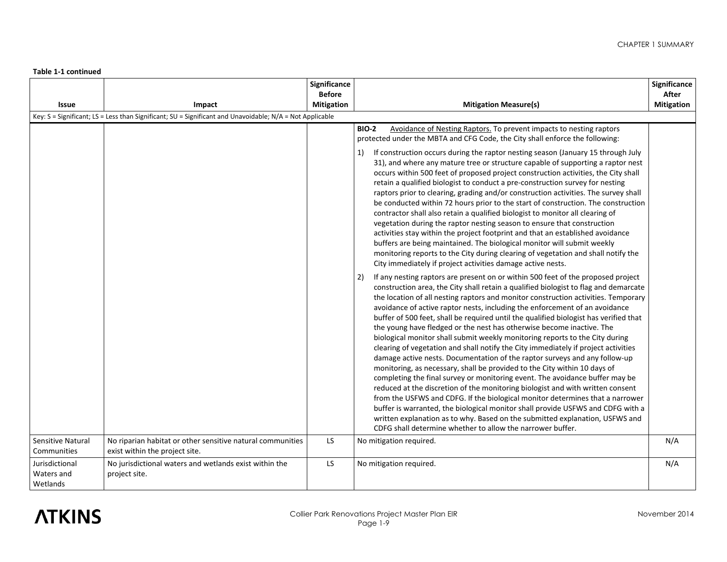|                                          |                                                                                                                    | Significance<br><b>Before</b> |                                                                                                                                                                                                                                                                                                                                                                                                                                                                                                                                                                                                                                                                                                                                                                                                                                                                                                                                                                                                                                                                                                                                                                                                                                                                                                                                                                                                                                                                                                                                                                                                                                                                                                                                                                                                                                                                                                                                                                                                                                                                                                                                                                                                                                                                                                                                                                                                                                                                                                                                | Significance<br>After |
|------------------------------------------|--------------------------------------------------------------------------------------------------------------------|-------------------------------|--------------------------------------------------------------------------------------------------------------------------------------------------------------------------------------------------------------------------------------------------------------------------------------------------------------------------------------------------------------------------------------------------------------------------------------------------------------------------------------------------------------------------------------------------------------------------------------------------------------------------------------------------------------------------------------------------------------------------------------------------------------------------------------------------------------------------------------------------------------------------------------------------------------------------------------------------------------------------------------------------------------------------------------------------------------------------------------------------------------------------------------------------------------------------------------------------------------------------------------------------------------------------------------------------------------------------------------------------------------------------------------------------------------------------------------------------------------------------------------------------------------------------------------------------------------------------------------------------------------------------------------------------------------------------------------------------------------------------------------------------------------------------------------------------------------------------------------------------------------------------------------------------------------------------------------------------------------------------------------------------------------------------------------------------------------------------------------------------------------------------------------------------------------------------------------------------------------------------------------------------------------------------------------------------------------------------------------------------------------------------------------------------------------------------------------------------------------------------------------------------------------------------------|-----------------------|
| <b>Issue</b>                             | Impact<br>Key: S = Significant; LS = Less than Significant; SU = Significant and Unavoidable; N/A = Not Applicable | <b>Mitigation</b>             | <b>Mitigation Measure(s)</b>                                                                                                                                                                                                                                                                                                                                                                                                                                                                                                                                                                                                                                                                                                                                                                                                                                                                                                                                                                                                                                                                                                                                                                                                                                                                                                                                                                                                                                                                                                                                                                                                                                                                                                                                                                                                                                                                                                                                                                                                                                                                                                                                                                                                                                                                                                                                                                                                                                                                                                   | <b>Mitigation</b>     |
|                                          |                                                                                                                    |                               | <b>BIO-2</b><br>Avoidance of Nesting Raptors. To prevent impacts to nesting raptors<br>protected under the MBTA and CFG Code, the City shall enforce the following:<br>If construction occurs during the raptor nesting season (January 15 through July<br>1)<br>31), and where any mature tree or structure capable of supporting a raptor nest<br>occurs within 500 feet of proposed project construction activities, the City shall<br>retain a qualified biologist to conduct a pre-construction survey for nesting<br>raptors prior to clearing, grading and/or construction activities. The survey shall<br>be conducted within 72 hours prior to the start of construction. The construction<br>contractor shall also retain a qualified biologist to monitor all clearing of<br>vegetation during the raptor nesting season to ensure that construction<br>activities stay within the project footprint and that an established avoidance<br>buffers are being maintained. The biological monitor will submit weekly<br>monitoring reports to the City during clearing of vegetation and shall notify the<br>City immediately if project activities damage active nests.<br>If any nesting raptors are present on or within 500 feet of the proposed project<br>2)<br>construction area, the City shall retain a qualified biologist to flag and demarcate<br>the location of all nesting raptors and monitor construction activities. Temporary<br>avoidance of active raptor nests, including the enforcement of an avoidance<br>buffer of 500 feet, shall be required until the qualified biologist has verified that<br>the young have fledged or the nest has otherwise become inactive. The<br>biological monitor shall submit weekly monitoring reports to the City during<br>clearing of vegetation and shall notify the City immediately if project activities<br>damage active nests. Documentation of the raptor surveys and any follow-up<br>monitoring, as necessary, shall be provided to the City within 10 days of<br>completing the final survey or monitoring event. The avoidance buffer may be<br>reduced at the discretion of the monitoring biologist and with written consent<br>from the USFWS and CDFG. If the biological monitor determines that a narrower<br>buffer is warranted, the biological monitor shall provide USFWS and CDFG with a<br>written explanation as to why. Based on the submitted explanation, USFWS and<br>CDFG shall determine whether to allow the narrower buffer. |                       |
| Sensitive Natural<br>Communities         | No riparian habitat or other sensitive natural communities<br>exist within the project site.                       | <b>LS</b>                     | No mitigation required.                                                                                                                                                                                                                                                                                                                                                                                                                                                                                                                                                                                                                                                                                                                                                                                                                                                                                                                                                                                                                                                                                                                                                                                                                                                                                                                                                                                                                                                                                                                                                                                                                                                                                                                                                                                                                                                                                                                                                                                                                                                                                                                                                                                                                                                                                                                                                                                                                                                                                                        | N/A                   |
| Jurisdictional<br>Waters and<br>Wetlands | No jurisdictional waters and wetlands exist within the<br>project site.                                            | LS                            | No mitigation required.                                                                                                                                                                                                                                                                                                                                                                                                                                                                                                                                                                                                                                                                                                                                                                                                                                                                                                                                                                                                                                                                                                                                                                                                                                                                                                                                                                                                                                                                                                                                                                                                                                                                                                                                                                                                                                                                                                                                                                                                                                                                                                                                                                                                                                                                                                                                                                                                                                                                                                        | N/A                   |

# **ATKINS**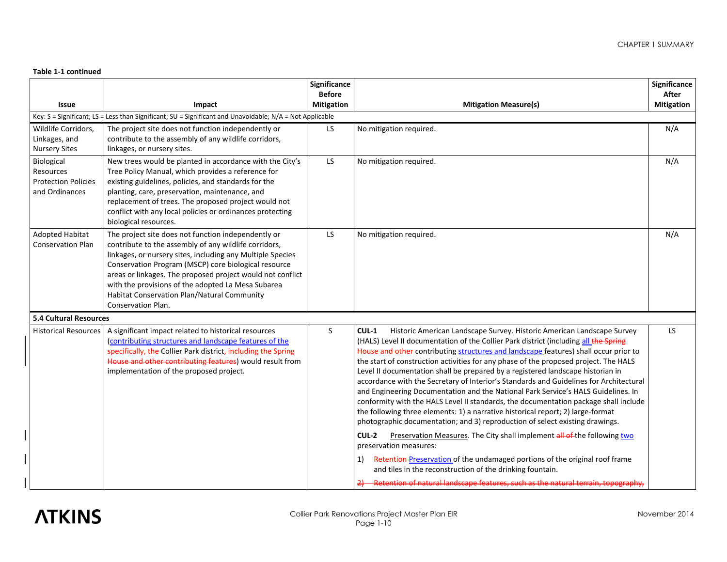|                                                                         |                                                                                                                                                                                                                                                                                                                                                                                                                             | Significance<br><b>Before</b> |                                                                                                                                                                                                                                                                                                                                                                                                                                                                                                                                                                                                                                                                                                                                                                                                                                                                                                                                                                                                                                                                                                                                                                                                                                                 | Significance<br>After |
|-------------------------------------------------------------------------|-----------------------------------------------------------------------------------------------------------------------------------------------------------------------------------------------------------------------------------------------------------------------------------------------------------------------------------------------------------------------------------------------------------------------------|-------------------------------|-------------------------------------------------------------------------------------------------------------------------------------------------------------------------------------------------------------------------------------------------------------------------------------------------------------------------------------------------------------------------------------------------------------------------------------------------------------------------------------------------------------------------------------------------------------------------------------------------------------------------------------------------------------------------------------------------------------------------------------------------------------------------------------------------------------------------------------------------------------------------------------------------------------------------------------------------------------------------------------------------------------------------------------------------------------------------------------------------------------------------------------------------------------------------------------------------------------------------------------------------|-----------------------|
| <b>Issue</b>                                                            | Impact                                                                                                                                                                                                                                                                                                                                                                                                                      | <b>Mitigation</b>             | <b>Mitigation Measure(s)</b>                                                                                                                                                                                                                                                                                                                                                                                                                                                                                                                                                                                                                                                                                                                                                                                                                                                                                                                                                                                                                                                                                                                                                                                                                    | <b>Mitigation</b>     |
| Wildlife Corridors,<br>Linkages, and<br><b>Nursery Sites</b>            | Key: S = Significant; LS = Less than Significant; SU = Significant and Unavoidable; N/A = Not Applicable<br>The project site does not function independently or<br>contribute to the assembly of any wildlife corridors,<br>linkages, or nursery sites.                                                                                                                                                                     | <b>LS</b>                     | No mitigation required.                                                                                                                                                                                                                                                                                                                                                                                                                                                                                                                                                                                                                                                                                                                                                                                                                                                                                                                                                                                                                                                                                                                                                                                                                         | N/A                   |
| Biological<br>Resources<br><b>Protection Policies</b><br>and Ordinances | New trees would be planted in accordance with the City's<br>Tree Policy Manual, which provides a reference for<br>existing guidelines, policies, and standards for the<br>planting, care, preservation, maintenance, and<br>replacement of trees. The proposed project would not<br>conflict with any local policies or ordinances protecting<br>biological resources.                                                      | LS.                           | No mitigation required.                                                                                                                                                                                                                                                                                                                                                                                                                                                                                                                                                                                                                                                                                                                                                                                                                                                                                                                                                                                                                                                                                                                                                                                                                         | N/A                   |
| <b>Adopted Habitat</b><br><b>Conservation Plan</b>                      | The project site does not function independently or<br>contribute to the assembly of any wildlife corridors,<br>linkages, or nursery sites, including any Multiple Species<br>Conservation Program (MSCP) core biological resource<br>areas or linkages. The proposed project would not conflict<br>with the provisions of the adopted La Mesa Subarea<br>Habitat Conservation Plan/Natural Community<br>Conservation Plan. | LS.                           | No mitigation required.                                                                                                                                                                                                                                                                                                                                                                                                                                                                                                                                                                                                                                                                                                                                                                                                                                                                                                                                                                                                                                                                                                                                                                                                                         | N/A                   |
| <b>5.4 Cultural Resources</b>                                           |                                                                                                                                                                                                                                                                                                                                                                                                                             |                               |                                                                                                                                                                                                                                                                                                                                                                                                                                                                                                                                                                                                                                                                                                                                                                                                                                                                                                                                                                                                                                                                                                                                                                                                                                                 |                       |
| <b>Historical Resources</b>                                             | A significant impact related to historical resources<br>(contributing structures and landscape features of the<br>specifically, the Collier Park district, including the Spring<br>House and other contributing features) would result from<br>implementation of the proposed project.                                                                                                                                      | S                             | $CUL-1$<br>Historic American Landscape Survey. Historic American Landscape Survey<br>(HALS) Level II documentation of the Collier Park district (including all the Spring<br>House and other contributing structures and landscape features) shall occur prior to<br>the start of construction activities for any phase of the proposed project. The HALS<br>Level II documentation shall be prepared by a registered landscape historian in<br>accordance with the Secretary of Interior's Standards and Guidelines for Architectural<br>and Engineering Documentation and the National Park Service's HALS Guidelines. In<br>conformity with the HALS Level II standards, the documentation package shall include<br>the following three elements: 1) a narrative historical report; 2) large-format<br>photographic documentation; and 3) reproduction of select existing drawings.<br>CUL-2<br>Preservation Measures. The City shall implement all of the following two<br>preservation measures:<br>Retention-Preservation of the undamaged portions of the original roof frame<br>1)<br>and tiles in the reconstruction of the drinking fountain.<br>2) Retention of natural landscape features, such as the natural terrain, topography, | LS.                   |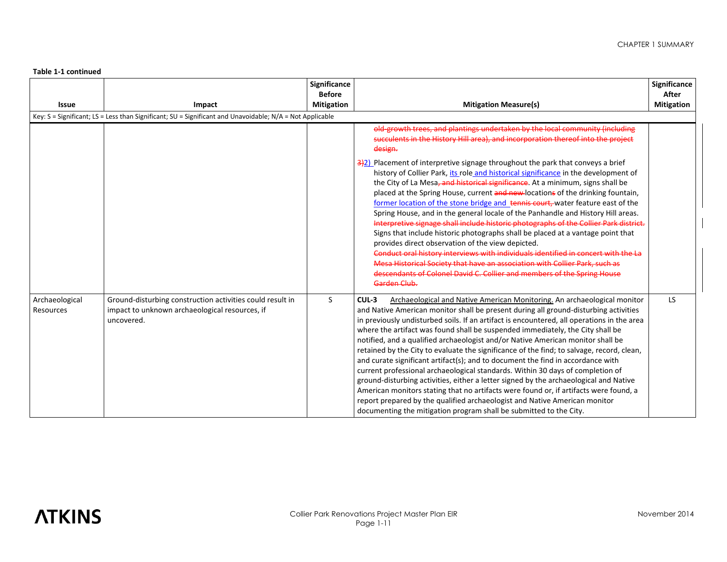| Issue                       | Impact                                                                                                                    | Significance<br><b>Before</b><br><b>Mitigation</b> | <b>Mitigation Measure(s)</b>                                                                                                                                                                                                                                                                                                                                                                                                                                                                                                                                                                                                                                                                                                                                                                                                                                                                                                                                                                                                                           | Significance<br>After<br><b>Mitigation</b> |
|-----------------------------|---------------------------------------------------------------------------------------------------------------------------|----------------------------------------------------|--------------------------------------------------------------------------------------------------------------------------------------------------------------------------------------------------------------------------------------------------------------------------------------------------------------------------------------------------------------------------------------------------------------------------------------------------------------------------------------------------------------------------------------------------------------------------------------------------------------------------------------------------------------------------------------------------------------------------------------------------------------------------------------------------------------------------------------------------------------------------------------------------------------------------------------------------------------------------------------------------------------------------------------------------------|--------------------------------------------|
|                             | Key: $S =$ Significant; LS = Less than Significant; SU = Significant and Unavoidable; N/A = Not Applicable                |                                                    | old-growth trees, and plantings undertaken by the local community (including<br>succulents in the History Hill area), and incorporation thereof into the project<br>design.                                                                                                                                                                                                                                                                                                                                                                                                                                                                                                                                                                                                                                                                                                                                                                                                                                                                            |                                            |
|                             |                                                                                                                           |                                                    | $\frac{3}{2}$ ) Placement of interpretive signage throughout the park that conveys a brief<br>history of Collier Park, its role and historical significance in the development of<br>the City of La Mesa, and historical significance. At a minimum, signs shall be<br>placed at the Spring House, current and new-locations of the drinking fountain,<br>former location of the stone bridge and tennis court, water feature east of the<br>Spring House, and in the general locale of the Panhandle and History Hill areas.<br>Interpretive signage shall include historic photographs of the Collier Park district.<br>Signs that include historic photographs shall be placed at a vantage point that<br>provides direct observation of the view depicted.<br>Conduct oral history interviews with individuals identified in concert with the La<br>Mesa Historical Society that have an association with Collier Park, such as<br>descendants of Colonel David C. Collier and members of the Spring House<br>Garden Club.                         |                                            |
| Archaeological<br>Resources | Ground-disturbing construction activities could result in<br>impact to unknown archaeological resources, if<br>uncovered. | S                                                  | $CUL-3$<br>Archaeological and Native American Monitoring. An archaeological monitor<br>and Native American monitor shall be present during all ground-disturbing activities<br>in previously undisturbed soils. If an artifact is encountered, all operations in the area<br>where the artifact was found shall be suspended immediately, the City shall be<br>notified, and a qualified archaeologist and/or Native American monitor shall be<br>retained by the City to evaluate the significance of the find; to salvage, record, clean,<br>and curate significant artifact(s); and to document the find in accordance with<br>current professional archaeological standards. Within 30 days of completion of<br>ground-disturbing activities, either a letter signed by the archaeological and Native<br>American monitors stating that no artifacts were found or, if artifacts were found, a<br>report prepared by the qualified archaeologist and Native American monitor<br>documenting the mitigation program shall be submitted to the City. | LS.                                        |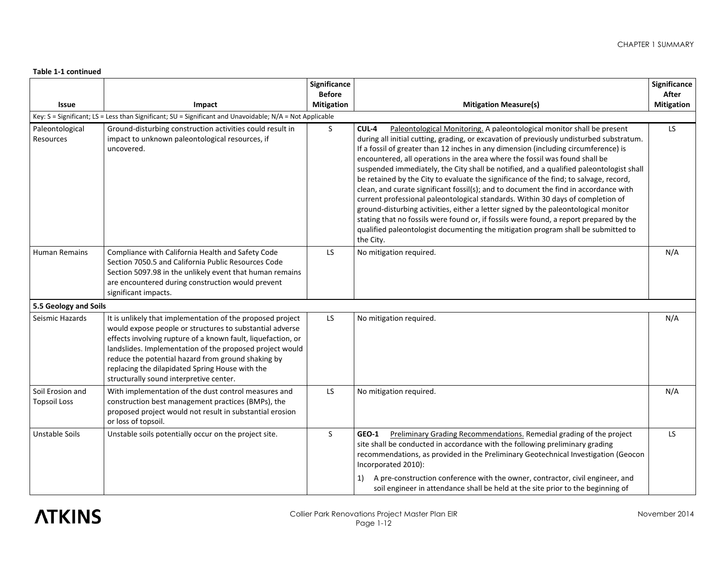|                                         |                                                                                                                                                                                                                                                                                                                                                                                                        | Significance<br><b>Before</b> |                                                                                                                                                                                                                                                                                                                                                                                                                                                                                                                                                                                                                                                                                                                                                                                                                                                                                                                                                                                                     | Significance<br>After |
|-----------------------------------------|--------------------------------------------------------------------------------------------------------------------------------------------------------------------------------------------------------------------------------------------------------------------------------------------------------------------------------------------------------------------------------------------------------|-------------------------------|-----------------------------------------------------------------------------------------------------------------------------------------------------------------------------------------------------------------------------------------------------------------------------------------------------------------------------------------------------------------------------------------------------------------------------------------------------------------------------------------------------------------------------------------------------------------------------------------------------------------------------------------------------------------------------------------------------------------------------------------------------------------------------------------------------------------------------------------------------------------------------------------------------------------------------------------------------------------------------------------------------|-----------------------|
| Issue                                   | Impact                                                                                                                                                                                                                                                                                                                                                                                                 | <b>Mitigation</b>             | <b>Mitigation Measure(s)</b>                                                                                                                                                                                                                                                                                                                                                                                                                                                                                                                                                                                                                                                                                                                                                                                                                                                                                                                                                                        | <b>Mitigation</b>     |
|                                         | Key: S = Significant; LS = Less than Significant; SU = Significant and Unavoidable; N/A = Not Applicable                                                                                                                                                                                                                                                                                               |                               |                                                                                                                                                                                                                                                                                                                                                                                                                                                                                                                                                                                                                                                                                                                                                                                                                                                                                                                                                                                                     |                       |
| Paleontological<br>Resources            | Ground-disturbing construction activities could result in<br>impact to unknown paleontological resources, if<br>uncovered.                                                                                                                                                                                                                                                                             | <sub>S</sub>                  | CUL-4<br>Paleontological Monitoring. A paleontological monitor shall be present<br>during all initial cutting, grading, or excavation of previously undisturbed substratum.<br>If a fossil of greater than 12 inches in any dimension (including circumference) is<br>encountered, all operations in the area where the fossil was found shall be<br>suspended immediately, the City shall be notified, and a qualified paleontologist shall<br>be retained by the City to evaluate the significance of the find; to salvage, record,<br>clean, and curate significant fossil(s); and to document the find in accordance with<br>current professional paleontological standards. Within 30 days of completion of<br>ground-disturbing activities, either a letter signed by the paleontological monitor<br>stating that no fossils were found or, if fossils were found, a report prepared by the<br>qualified paleontologist documenting the mitigation program shall be submitted to<br>the City. | LS.                   |
| Human Remains                           | Compliance with California Health and Safety Code<br>Section 7050.5 and California Public Resources Code<br>Section 5097.98 in the unlikely event that human remains<br>are encountered during construction would prevent<br>significant impacts.                                                                                                                                                      | LS.                           | No mitigation required.                                                                                                                                                                                                                                                                                                                                                                                                                                                                                                                                                                                                                                                                                                                                                                                                                                                                                                                                                                             | N/A                   |
| 5.5 Geology and Soils                   |                                                                                                                                                                                                                                                                                                                                                                                                        |                               |                                                                                                                                                                                                                                                                                                                                                                                                                                                                                                                                                                                                                                                                                                                                                                                                                                                                                                                                                                                                     |                       |
| Seismic Hazards                         | It is unlikely that implementation of the proposed project<br>would expose people or structures to substantial adverse<br>effects involving rupture of a known fault, liquefaction, or<br>landslides. Implementation of the proposed project would<br>reduce the potential hazard from ground shaking by<br>replacing the dilapidated Spring House with the<br>structurally sound interpretive center. | LS.                           | No mitigation required.                                                                                                                                                                                                                                                                                                                                                                                                                                                                                                                                                                                                                                                                                                                                                                                                                                                                                                                                                                             | N/A                   |
| Soil Erosion and<br><b>Topsoil Loss</b> | With implementation of the dust control measures and<br>construction best management practices (BMPs), the<br>proposed project would not result in substantial erosion<br>or loss of topsoil.                                                                                                                                                                                                          | <b>LS</b>                     | No mitigation required.                                                                                                                                                                                                                                                                                                                                                                                                                                                                                                                                                                                                                                                                                                                                                                                                                                                                                                                                                                             | N/A                   |
| <b>Unstable Soils</b>                   | Unstable soils potentially occur on the project site.                                                                                                                                                                                                                                                                                                                                                  | <sub>S</sub>                  | Preliminary Grading Recommendations. Remedial grading of the project<br>GEO-1<br>site shall be conducted in accordance with the following preliminary grading<br>recommendations, as provided in the Preliminary Geotechnical Investigation (Geocon<br>Incorporated 2010):<br>A pre-construction conference with the owner, contractor, civil engineer, and<br>1)<br>soil engineer in attendance shall be held at the site prior to the beginning of                                                                                                                                                                                                                                                                                                                                                                                                                                                                                                                                                | <b>LS</b>             |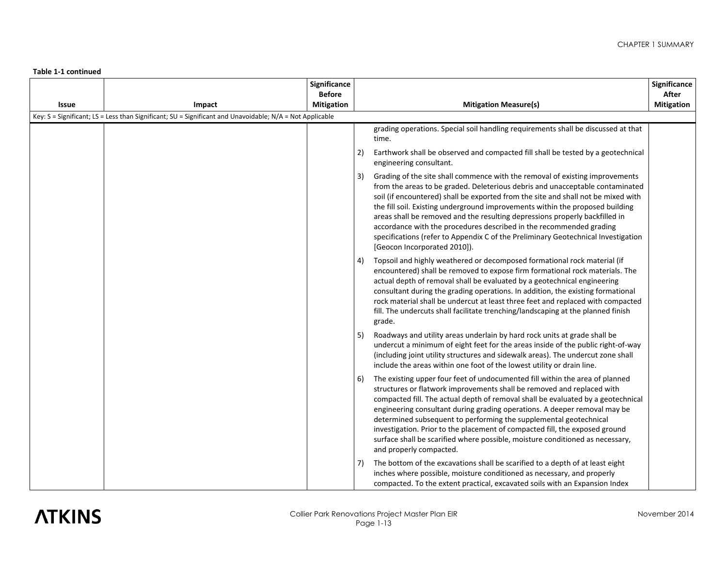|       |                                                                                                          | Significance<br><b>Before</b> |                                                                                                                                                                                                                                                                                                                                                                                                                                                                                                                                                                                                                      | Significance<br>After |
|-------|----------------------------------------------------------------------------------------------------------|-------------------------------|----------------------------------------------------------------------------------------------------------------------------------------------------------------------------------------------------------------------------------------------------------------------------------------------------------------------------------------------------------------------------------------------------------------------------------------------------------------------------------------------------------------------------------------------------------------------------------------------------------------------|-----------------------|
| Issue | Impact                                                                                                   | <b>Mitigation</b>             | <b>Mitigation Measure(s)</b>                                                                                                                                                                                                                                                                                                                                                                                                                                                                                                                                                                                         | <b>Mitigation</b>     |
|       | Key: S = Significant; LS = Less than Significant; SU = Significant and Unavoidable; N/A = Not Applicable |                               |                                                                                                                                                                                                                                                                                                                                                                                                                                                                                                                                                                                                                      |                       |
|       |                                                                                                          |                               | grading operations. Special soil handling requirements shall be discussed at that<br>time.                                                                                                                                                                                                                                                                                                                                                                                                                                                                                                                           |                       |
|       |                                                                                                          |                               | 2)<br>Earthwork shall be observed and compacted fill shall be tested by a geotechnical<br>engineering consultant.                                                                                                                                                                                                                                                                                                                                                                                                                                                                                                    |                       |
|       |                                                                                                          |                               | Grading of the site shall commence with the removal of existing improvements<br>3)<br>from the areas to be graded. Deleterious debris and unacceptable contaminated<br>soil (if encountered) shall be exported from the site and shall not be mixed with<br>the fill soil. Existing underground improvements within the proposed building<br>areas shall be removed and the resulting depressions properly backfilled in<br>accordance with the procedures described in the recommended grading<br>specifications (refer to Appendix C of the Preliminary Geotechnical Investigation<br>[Geocon Incorporated 2010]). |                       |
|       |                                                                                                          |                               | Topsoil and highly weathered or decomposed formational rock material (if<br>4)<br>encountered) shall be removed to expose firm formational rock materials. The<br>actual depth of removal shall be evaluated by a geotechnical engineering<br>consultant during the grading operations. In addition, the existing formational<br>rock material shall be undercut at least three feet and replaced with compacted<br>fill. The undercuts shall facilitate trenching/landscaping at the planned finish<br>grade.                                                                                                       |                       |
|       |                                                                                                          |                               | Roadways and utility areas underlain by hard rock units at grade shall be<br>5)<br>undercut a minimum of eight feet for the areas inside of the public right-of-way<br>(including joint utility structures and sidewalk areas). The undercut zone shall<br>include the areas within one foot of the lowest utility or drain line.                                                                                                                                                                                                                                                                                    |                       |
|       |                                                                                                          |                               | The existing upper four feet of undocumented fill within the area of planned<br>6)<br>structures or flatwork improvements shall be removed and replaced with<br>compacted fill. The actual depth of removal shall be evaluated by a geotechnical<br>engineering consultant during grading operations. A deeper removal may be<br>determined subsequent to performing the supplemental geotechnical<br>investigation. Prior to the placement of compacted fill, the exposed ground<br>surface shall be scarified where possible, moisture conditioned as necessary,<br>and properly compacted.                        |                       |
|       |                                                                                                          |                               | The bottom of the excavations shall be scarified to a depth of at least eight<br>inches where possible, moisture conditioned as necessary, and properly<br>compacted. To the extent practical, excavated soils with an Expansion Index                                                                                                                                                                                                                                                                                                                                                                               |                       |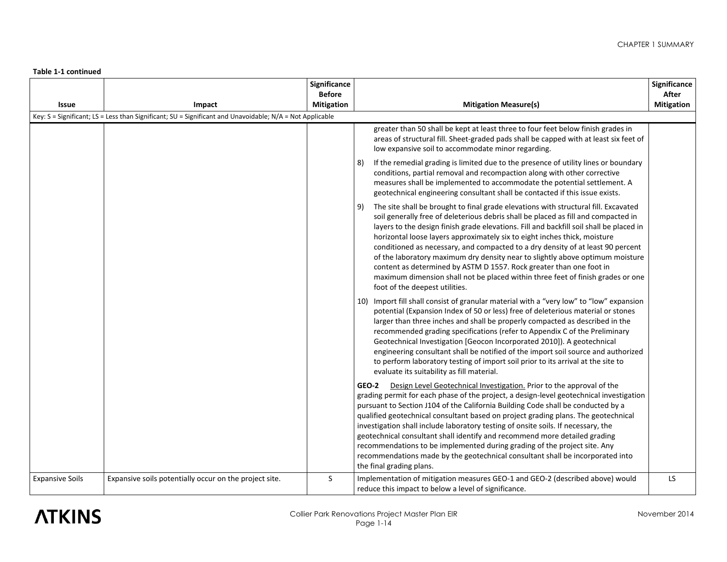|                        |                                                                                                          | Significance<br><b>Before</b> |                                                                                                                                                                                                                                                                                                                                                                                                                                                                                                                                                                                                                                                                                                                         | Significance<br>After |
|------------------------|----------------------------------------------------------------------------------------------------------|-------------------------------|-------------------------------------------------------------------------------------------------------------------------------------------------------------------------------------------------------------------------------------------------------------------------------------------------------------------------------------------------------------------------------------------------------------------------------------------------------------------------------------------------------------------------------------------------------------------------------------------------------------------------------------------------------------------------------------------------------------------------|-----------------------|
| Issue                  | Impact                                                                                                   | <b>Mitigation</b>             | <b>Mitigation Measure(s)</b>                                                                                                                                                                                                                                                                                                                                                                                                                                                                                                                                                                                                                                                                                            | <b>Mitigation</b>     |
|                        | Key: S = Significant; LS = Less than Significant; SU = Significant and Unavoidable; N/A = Not Applicable |                               |                                                                                                                                                                                                                                                                                                                                                                                                                                                                                                                                                                                                                                                                                                                         |                       |
|                        |                                                                                                          |                               | greater than 50 shall be kept at least three to four feet below finish grades in<br>areas of structural fill. Sheet-graded pads shall be capped with at least six feet of<br>low expansive soil to accommodate minor regarding.                                                                                                                                                                                                                                                                                                                                                                                                                                                                                         |                       |
|                        |                                                                                                          |                               | If the remedial grading is limited due to the presence of utility lines or boundary<br>8)<br>conditions, partial removal and recompaction along with other corrective<br>measures shall be implemented to accommodate the potential settlement. A<br>geotechnical engineering consultant shall be contacted if this issue exists.                                                                                                                                                                                                                                                                                                                                                                                       |                       |
|                        |                                                                                                          |                               | The site shall be brought to final grade elevations with structural fill. Excavated<br>9)<br>soil generally free of deleterious debris shall be placed as fill and compacted in<br>layers to the design finish grade elevations. Fill and backfill soil shall be placed in<br>horizontal loose layers approximately six to eight inches thick, moisture<br>conditioned as necessary, and compacted to a dry density of at least 90 percent<br>of the laboratory maximum dry density near to slightly above optimum moisture<br>content as determined by ASTM D 1557. Rock greater than one foot in<br>maximum dimension shall not be placed within three feet of finish grades or one<br>foot of the deepest utilities. |                       |
|                        |                                                                                                          |                               | Import fill shall consist of granular material with a "very low" to "low" expansion<br>10)<br>potential (Expansion Index of 50 or less) free of deleterious material or stones<br>larger than three inches and shall be properly compacted as described in the<br>recommended grading specifications (refer to Appendix C of the Preliminary<br>Geotechnical Investigation [Geocon Incorporated 2010]). A geotechnical<br>engineering consultant shall be notified of the import soil source and authorized<br>to perform laboratory testing of import soil prior to its arrival at the site to<br>evaluate its suitability as fill material.                                                                           |                       |
|                        |                                                                                                          |                               | GEO-2 Design Level Geotechnical Investigation. Prior to the approval of the<br>grading permit for each phase of the project, a design-level geotechnical investigation<br>pursuant to Section J104 of the California Building Code shall be conducted by a<br>qualified geotechnical consultant based on project grading plans. The geotechnical<br>investigation shall include laboratory testing of onsite soils. If necessary, the<br>geotechnical consultant shall identify and recommend more detailed grading<br>recommendations to be implemented during grading of the project site. Any<br>recommendations made by the geotechnical consultant shall be incorporated into<br>the final grading plans.          |                       |
| <b>Expansive Soils</b> | Expansive soils potentially occur on the project site.                                                   | S                             | Implementation of mitigation measures GEO-1 and GEO-2 (described above) would<br>reduce this impact to below a level of significance.                                                                                                                                                                                                                                                                                                                                                                                                                                                                                                                                                                                   | LS                    |

# **ATKINS**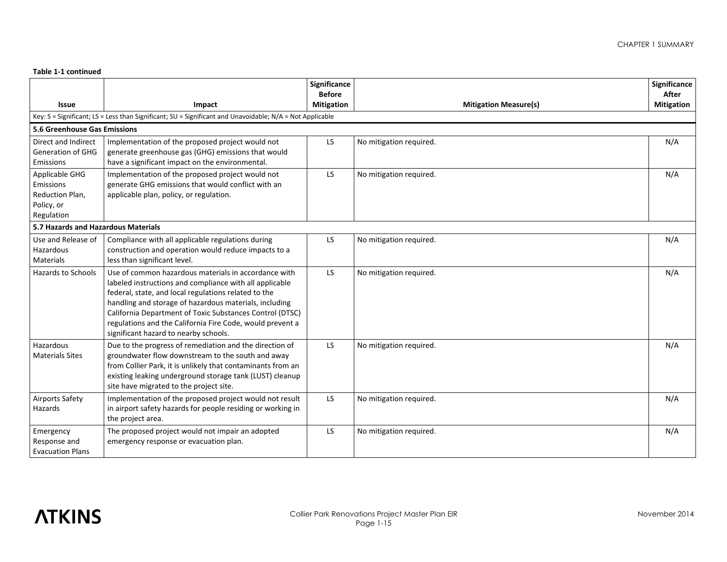|                                       |                                                                                                                    | Significance<br><b>Before</b> |                              | Significance<br>After |
|---------------------------------------|--------------------------------------------------------------------------------------------------------------------|-------------------------------|------------------------------|-----------------------|
| Issue                                 | Impact                                                                                                             | <b>Mitigation</b>             | <b>Mitigation Measure(s)</b> | <b>Mitigation</b>     |
|                                       | Key: S = Significant; LS = Less than Significant; SU = Significant and Unavoidable; N/A = Not Applicable           |                               |                              |                       |
| 5.6 Greenhouse Gas Emissions          |                                                                                                                    |                               |                              |                       |
| Direct and Indirect                   | Implementation of the proposed project would not                                                                   | <b>LS</b>                     | No mitigation required.      | N/A                   |
| <b>Generation of GHG</b><br>Emissions | generate greenhouse gas (GHG) emissions that would<br>have a significant impact on the environmental.              |                               |                              |                       |
|                                       |                                                                                                                    |                               |                              |                       |
| Applicable GHG<br>Emissions           | Implementation of the proposed project would not<br>generate GHG emissions that would conflict with an             | LS                            | No mitigation required.      | N/A                   |
| Reduction Plan,                       | applicable plan, policy, or regulation.                                                                            |                               |                              |                       |
| Policy, or                            |                                                                                                                    |                               |                              |                       |
| Regulation                            |                                                                                                                    |                               |                              |                       |
| 5.7 Hazards and Hazardous Materials   |                                                                                                                    |                               |                              |                       |
| Use and Release of                    | Compliance with all applicable regulations during                                                                  | LS                            | No mitigation required.      | N/A                   |
| Hazardous                             | construction and operation would reduce impacts to a                                                               |                               |                              |                       |
| Materials                             | less than significant level.                                                                                       |                               |                              |                       |
| Hazards to Schools                    | Use of common hazardous materials in accordance with                                                               | <b>LS</b>                     | No mitigation required.      | N/A                   |
|                                       | labeled instructions and compliance with all applicable                                                            |                               |                              |                       |
|                                       | federal, state, and local regulations related to the                                                               |                               |                              |                       |
|                                       | handling and storage of hazardous materials, including<br>California Department of Toxic Substances Control (DTSC) |                               |                              |                       |
|                                       | regulations and the California Fire Code, would prevent a                                                          |                               |                              |                       |
|                                       | significant hazard to nearby schools.                                                                              |                               |                              |                       |
| Hazardous                             | Due to the progress of remediation and the direction of                                                            | <b>LS</b>                     | No mitigation required.      | N/A                   |
| <b>Materials Sites</b>                | groundwater flow downstream to the south and away                                                                  |                               |                              |                       |
|                                       | from Collier Park, it is unlikely that contaminants from an                                                        |                               |                              |                       |
|                                       | existing leaking underground storage tank (LUST) cleanup                                                           |                               |                              |                       |
|                                       | site have migrated to the project site.                                                                            |                               |                              |                       |
| <b>Airports Safety</b>                | Implementation of the proposed project would not result                                                            | LS                            | No mitigation required.      | N/A                   |
| Hazards                               | in airport safety hazards for people residing or working in                                                        |                               |                              |                       |
|                                       | the project area.                                                                                                  |                               |                              |                       |
| Emergency                             | The proposed project would not impair an adopted                                                                   | LS                            | No mitigation required.      | N/A                   |
| Response and                          | emergency response or evacuation plan.                                                                             |                               |                              |                       |
| <b>Evacuation Plans</b>               |                                                                                                                    |                               |                              |                       |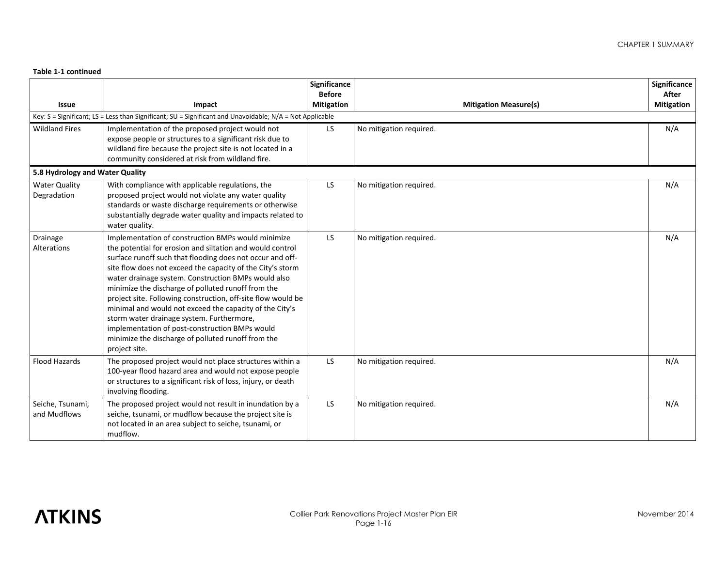| <b>Issue</b>                     | Impact                                                                                                                                                                                                                                                                                                                                                                                                                                                                                                                                                                                                                                                   | Significance<br><b>Before</b><br><b>Mitigation</b> | <b>Mitigation Measure(s)</b> | Significance<br>After<br><b>Mitigation</b> |
|----------------------------------|----------------------------------------------------------------------------------------------------------------------------------------------------------------------------------------------------------------------------------------------------------------------------------------------------------------------------------------------------------------------------------------------------------------------------------------------------------------------------------------------------------------------------------------------------------------------------------------------------------------------------------------------------------|----------------------------------------------------|------------------------------|--------------------------------------------|
|                                  | Key: $S =$ Significant; LS = Less than Significant; SU = Significant and Unavoidable; N/A = Not Applicable                                                                                                                                                                                                                                                                                                                                                                                                                                                                                                                                               |                                                    |                              |                                            |
| <b>Wildland Fires</b>            | Implementation of the proposed project would not<br>expose people or structures to a significant risk due to<br>wildland fire because the project site is not located in a<br>community considered at risk from wildland fire.                                                                                                                                                                                                                                                                                                                                                                                                                           | LS                                                 | No mitigation required.      | N/A                                        |
| 5.8 Hydrology and Water Quality  |                                                                                                                                                                                                                                                                                                                                                                                                                                                                                                                                                                                                                                                          |                                                    |                              |                                            |
| Water Quality<br>Degradation     | With compliance with applicable regulations, the<br>proposed project would not violate any water quality<br>standards or waste discharge requirements or otherwise<br>substantially degrade water quality and impacts related to<br>water quality.                                                                                                                                                                                                                                                                                                                                                                                                       | LS.                                                | No mitigation required.      | N/A                                        |
| Drainage<br>Alterations          | Implementation of construction BMPs would minimize<br>the potential for erosion and siltation and would control<br>surface runoff such that flooding does not occur and off-<br>site flow does not exceed the capacity of the City's storm<br>water drainage system. Construction BMPs would also<br>minimize the discharge of polluted runoff from the<br>project site. Following construction, off-site flow would be<br>minimal and would not exceed the capacity of the City's<br>storm water drainage system. Furthermore,<br>implementation of post-construction BMPs would<br>minimize the discharge of polluted runoff from the<br>project site. | LS                                                 | No mitigation required.      | N/A                                        |
| Flood Hazards                    | The proposed project would not place structures within a<br>100-year flood hazard area and would not expose people<br>or structures to a significant risk of loss, injury, or death<br>involving flooding.                                                                                                                                                                                                                                                                                                                                                                                                                                               | LS.                                                | No mitigation required.      | N/A                                        |
| Seiche, Tsunami,<br>and Mudflows | The proposed project would not result in inundation by a<br>seiche, tsunami, or mudflow because the project site is<br>not located in an area subject to seiche, tsunami, or<br>mudflow.                                                                                                                                                                                                                                                                                                                                                                                                                                                                 | LS                                                 | No mitigation required.      | N/A                                        |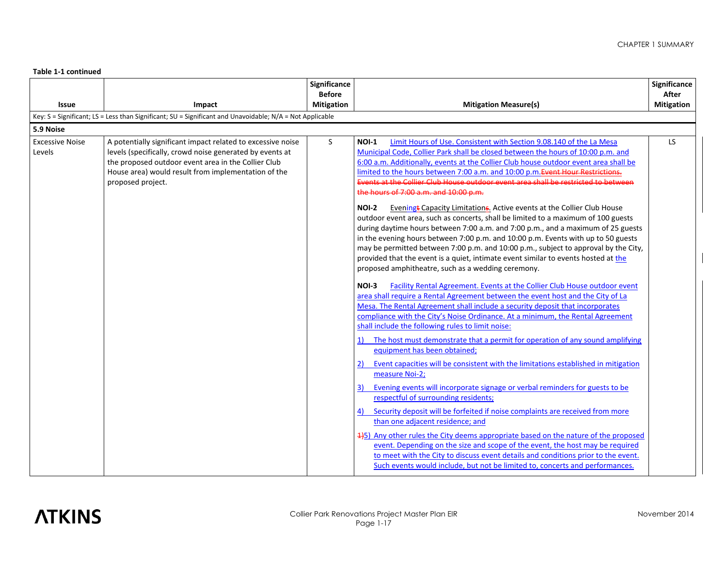|                                  |                                                                                                                                                                                                                                                            | Significance      |                                                                                                                                                                                                                                                                                                                                                                                                                                                                                                                                                                                                                                                                                                                                                                                                                                                                                                                                                                                                                                                                                                                                                                                                                                                                                                                                                                                                                                                                                                                                                                                                                                                                                                                                                                                                                                                                                                                                                                                                                                                                                                                                                                                                                                                                                                                         | Significance      |
|----------------------------------|------------------------------------------------------------------------------------------------------------------------------------------------------------------------------------------------------------------------------------------------------------|-------------------|-------------------------------------------------------------------------------------------------------------------------------------------------------------------------------------------------------------------------------------------------------------------------------------------------------------------------------------------------------------------------------------------------------------------------------------------------------------------------------------------------------------------------------------------------------------------------------------------------------------------------------------------------------------------------------------------------------------------------------------------------------------------------------------------------------------------------------------------------------------------------------------------------------------------------------------------------------------------------------------------------------------------------------------------------------------------------------------------------------------------------------------------------------------------------------------------------------------------------------------------------------------------------------------------------------------------------------------------------------------------------------------------------------------------------------------------------------------------------------------------------------------------------------------------------------------------------------------------------------------------------------------------------------------------------------------------------------------------------------------------------------------------------------------------------------------------------------------------------------------------------------------------------------------------------------------------------------------------------------------------------------------------------------------------------------------------------------------------------------------------------------------------------------------------------------------------------------------------------------------------------------------------------------------------------------------------------|-------------------|
|                                  |                                                                                                                                                                                                                                                            | <b>Before</b>     |                                                                                                                                                                                                                                                                                                                                                                                                                                                                                                                                                                                                                                                                                                                                                                                                                                                                                                                                                                                                                                                                                                                                                                                                                                                                                                                                                                                                                                                                                                                                                                                                                                                                                                                                                                                                                                                                                                                                                                                                                                                                                                                                                                                                                                                                                                                         | After             |
| <b>Issue</b>                     | Impact                                                                                                                                                                                                                                                     | <b>Mitigation</b> | <b>Mitigation Measure(s)</b>                                                                                                                                                                                                                                                                                                                                                                                                                                                                                                                                                                                                                                                                                                                                                                                                                                                                                                                                                                                                                                                                                                                                                                                                                                                                                                                                                                                                                                                                                                                                                                                                                                                                                                                                                                                                                                                                                                                                                                                                                                                                                                                                                                                                                                                                                            | <b>Mitigation</b> |
|                                  | Key: S = Significant; LS = Less than Significant; SU = Significant and Unavoidable; N/A = Not Applicable                                                                                                                                                   |                   |                                                                                                                                                                                                                                                                                                                                                                                                                                                                                                                                                                                                                                                                                                                                                                                                                                                                                                                                                                                                                                                                                                                                                                                                                                                                                                                                                                                                                                                                                                                                                                                                                                                                                                                                                                                                                                                                                                                                                                                                                                                                                                                                                                                                                                                                                                                         |                   |
| 5.9 Noise                        |                                                                                                                                                                                                                                                            |                   |                                                                                                                                                                                                                                                                                                                                                                                                                                                                                                                                                                                                                                                                                                                                                                                                                                                                                                                                                                                                                                                                                                                                                                                                                                                                                                                                                                                                                                                                                                                                                                                                                                                                                                                                                                                                                                                                                                                                                                                                                                                                                                                                                                                                                                                                                                                         |                   |
| <b>Excessive Noise</b><br>Levels | A potentially significant impact related to excessive noise<br>levels (specifically, crowd noise generated by events at<br>the proposed outdoor event area in the Collier Club<br>House area) would result from implementation of the<br>proposed project. | S                 | NOI-1<br>Limit Hours of Use. Consistent with Section 9.08.140 of the La Mesa<br>Municipal Code, Collier Park shall be closed between the hours of 10:00 p.m. and<br>6:00 a.m. Additionally, events at the Collier Club house outdoor event area shall be<br>limited to the hours between 7:00 a.m. and 10:00 p.m. Event Hour Restrictions.<br>Events at the Collier Club House outdoor event area shall be restricted to between<br>the hours of 7:00 a.m. and 10:00 p.m.<br><b>NOI-2</b><br>Eveningt Capacity Limitations. Active events at the Collier Club House<br>outdoor event area, such as concerts, shall be limited to a maximum of 100 guests<br>during daytime hours between 7:00 a.m. and 7:00 p.m., and a maximum of 25 guests<br>in the evening hours between 7:00 p.m. and 10:00 p.m. Events with up to 50 guests<br>may be permitted between 7:00 p.m. and 10:00 p.m., subject to approval by the City,<br>provided that the event is a quiet, intimate event similar to events hosted at the<br>proposed amphitheatre, such as a wedding ceremony.<br>Facility Rental Agreement. Events at the Collier Club House outdoor event<br><b>NOI-3</b><br>area shall require a Rental Agreement between the event host and the City of La<br>Mesa. The Rental Agreement shall include a security deposit that incorporates<br>compliance with the City's Noise Ordinance. At a minimum, the Rental Agreement<br>shall include the following rules to limit noise:<br>The host must demonstrate that a permit for operation of any sound amplifying<br>1)<br>equipment has been obtained;<br>Event capacities will be consistent with the limitations established in mitigation<br>2)<br>measure Noi-2;<br>Evening events will incorporate signage or verbal reminders for guests to be<br>3)<br>respectful of surrounding residents;<br>Security deposit will be forfeited if noise complaints are received from more<br>4)<br>than one adjacent residence; and<br>4+5) Any other rules the City deems appropriate based on the nature of the proposed<br>event. Depending on the size and scope of the event, the host may be required<br>to meet with the City to discuss event details and conditions prior to the event.<br>Such events would include, but not be limited to, concerts and performances. | LS.               |

# **ATKINS**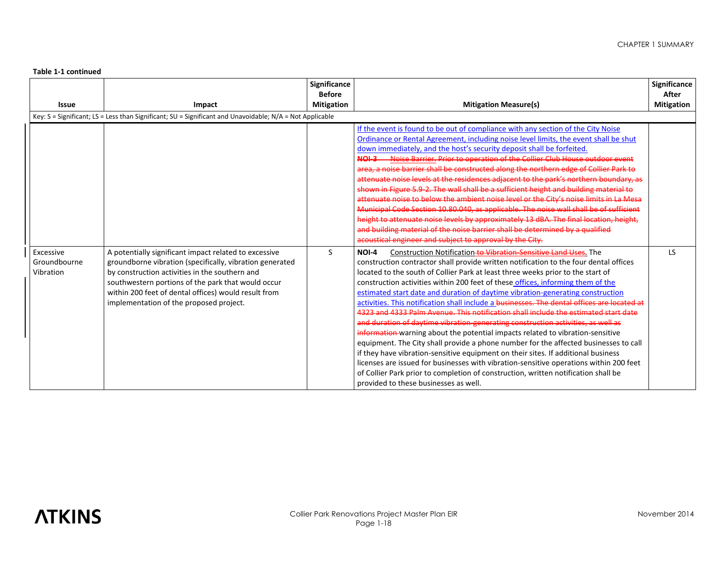| <b>Issue</b>                           | Impact                                                                                                                                                                                                                                                                                                                       | Significance<br><b>Before</b><br><b>Mitigation</b> | <b>Mitigation Measure(s)</b>                                                                                                                                                                                                                                                                                                                                                                                                                                                                                                                                                                                                                                                                                                                                                                                                                                                                                                                                                                                                                                                                                                                                                                                                                                                                                                                                                                                                                                                                                                                                                                                                                                                                                                                                                                                                                                                                                                                                                                                                                                                                                                                                                                                                            | Significance<br>After<br><b>Mitigation</b> |
|----------------------------------------|------------------------------------------------------------------------------------------------------------------------------------------------------------------------------------------------------------------------------------------------------------------------------------------------------------------------------|----------------------------------------------------|-----------------------------------------------------------------------------------------------------------------------------------------------------------------------------------------------------------------------------------------------------------------------------------------------------------------------------------------------------------------------------------------------------------------------------------------------------------------------------------------------------------------------------------------------------------------------------------------------------------------------------------------------------------------------------------------------------------------------------------------------------------------------------------------------------------------------------------------------------------------------------------------------------------------------------------------------------------------------------------------------------------------------------------------------------------------------------------------------------------------------------------------------------------------------------------------------------------------------------------------------------------------------------------------------------------------------------------------------------------------------------------------------------------------------------------------------------------------------------------------------------------------------------------------------------------------------------------------------------------------------------------------------------------------------------------------------------------------------------------------------------------------------------------------------------------------------------------------------------------------------------------------------------------------------------------------------------------------------------------------------------------------------------------------------------------------------------------------------------------------------------------------------------------------------------------------------------------------------------------------|--------------------------------------------|
|                                        | Key: $S =$ Significant; LS = Less than Significant; SU = Significant and Unavoidable; N/A = Not Applicable                                                                                                                                                                                                                   |                                                    |                                                                                                                                                                                                                                                                                                                                                                                                                                                                                                                                                                                                                                                                                                                                                                                                                                                                                                                                                                                                                                                                                                                                                                                                                                                                                                                                                                                                                                                                                                                                                                                                                                                                                                                                                                                                                                                                                                                                                                                                                                                                                                                                                                                                                                         |                                            |
| Excessive<br>Groundbourne<br>Vibration | A potentially significant impact related to excessive<br>groundborne vibration (specifically, vibration generated<br>by construction activities in the southern and<br>southwestern portions of the park that would occur<br>within 200 feet of dental offices) would result from<br>implementation of the proposed project. | S                                                  | If the event is found to be out of compliance with any section of the City Noise<br>Ordinance or Rental Agreement, including noise level limits, the event shall be shut<br>down immediately, and the host's security deposit shall be forfeited.<br>NOL3 Noise Barrier, Prior to operation of the Collier Club House outdoor event<br>area, a noise barrier shall be constructed along the northern edge of Collier Park to<br>attenuate noise levels at the residences adjacent to the park's northern boundary, as<br>shown in Figure 5.9-2. The wall shall be a sufficient height and building material to<br>attenuate noise to below the ambient noise level or the City's noise limits in La Mesa<br>Municipal Code Section 10.80.040, as applicable. The noise wall shall be of sufficient<br>height to attenuate noise levels by approximately 13 dBA. The final location, height,<br>and building material of the noise barrier shall be determined by a qualified<br>acoustical engineer and subject to approval by the City.<br>Construction Notification to Vibration Sensitive Land Uses. The<br>NOI-4<br>construction contractor shall provide written notification to the four dental offices<br>located to the south of Collier Park at least three weeks prior to the start of<br>construction activities within 200 feet of these offices, informing them of the<br>estimated start date and duration of daytime vibration-generating construction<br>activities. This notification shall include a businesses. The dental offices are located at<br>4323 and 4333 Palm Avenue. This notification shall include the estimated start date<br>and duration of daytime vibration-generating construction activities, as well as<br>information warning about the potential impacts related to vibration-sensitive<br>equipment. The City shall provide a phone number for the affected businesses to call<br>if they have vibration-sensitive equipment on their sites. If additional business<br>licenses are issued for businesses with vibration-sensitive operations within 200 feet<br>of Collier Park prior to completion of construction, written notification shall be<br>provided to these businesses as well. | <b>LS</b>                                  |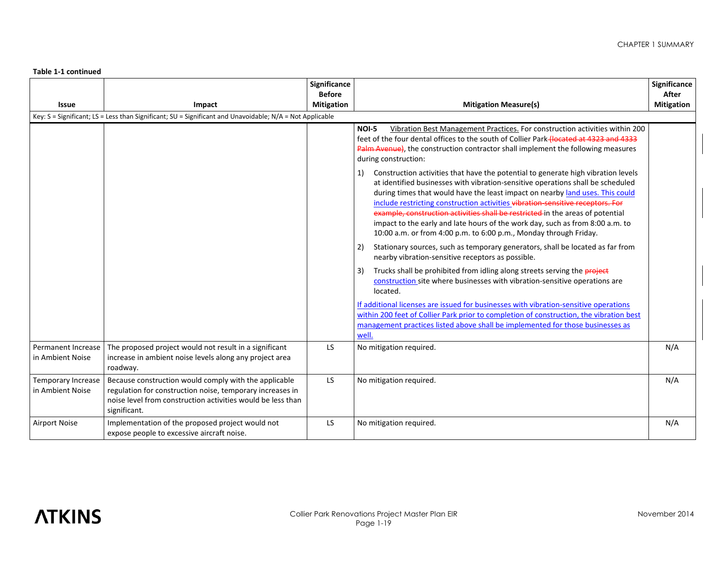|                                                                                                          |                                                                                                                                                                                                   | Significance<br><b>Before</b> |                                                                                                                                                                                                                                                                                                                                                                                                                                                                                                                                                                                       | Significance<br>After |  |  |  |  |
|----------------------------------------------------------------------------------------------------------|---------------------------------------------------------------------------------------------------------------------------------------------------------------------------------------------------|-------------------------------|---------------------------------------------------------------------------------------------------------------------------------------------------------------------------------------------------------------------------------------------------------------------------------------------------------------------------------------------------------------------------------------------------------------------------------------------------------------------------------------------------------------------------------------------------------------------------------------|-----------------------|--|--|--|--|
| <b>Issue</b>                                                                                             | Impact                                                                                                                                                                                            | <b>Mitigation</b>             | <b>Mitigation Measure(s)</b>                                                                                                                                                                                                                                                                                                                                                                                                                                                                                                                                                          | <b>Mitigation</b>     |  |  |  |  |
| Key: S = Significant; LS = Less than Significant; SU = Significant and Unavoidable; N/A = Not Applicable |                                                                                                                                                                                                   |                               |                                                                                                                                                                                                                                                                                                                                                                                                                                                                                                                                                                                       |                       |  |  |  |  |
|                                                                                                          |                                                                                                                                                                                                   |                               | <b>NOI-5</b><br>Vibration Best Management Practices. For construction activities within 200<br>feet of the four dental offices to the south of Collier Park-(located at 4323 and 4333<br>Palm Avenue), the construction contractor shall implement the following measures<br>during construction:                                                                                                                                                                                                                                                                                     |                       |  |  |  |  |
|                                                                                                          |                                                                                                                                                                                                   |                               | Construction activities that have the potential to generate high vibration levels<br>1)<br>at identified businesses with vibration-sensitive operations shall be scheduled<br>during times that would have the least impact on nearby land uses. This could<br>include restricting construction activities vibration-sensitive receptors. For<br>example, construction activities shall be restricted in the areas of potential<br>impact to the early and late hours of the work day, such as from 8:00 a.m. to<br>10:00 a.m. or from 4:00 p.m. to 6:00 p.m., Monday through Friday. |                       |  |  |  |  |
|                                                                                                          |                                                                                                                                                                                                   |                               | Stationary sources, such as temporary generators, shall be located as far from<br>2)<br>nearby vibration-sensitive receptors as possible.                                                                                                                                                                                                                                                                                                                                                                                                                                             |                       |  |  |  |  |
|                                                                                                          |                                                                                                                                                                                                   |                               | Trucks shall be prohibited from idling along streets serving the <b>project</b><br>3)<br>construction site where businesses with vibration-sensitive operations are<br>located.                                                                                                                                                                                                                                                                                                                                                                                                       |                       |  |  |  |  |
|                                                                                                          |                                                                                                                                                                                                   |                               | If additional licenses are issued for businesses with vibration-sensitive operations<br>within 200 feet of Collier Park prior to completion of construction, the vibration best<br>management practices listed above shall be implemented for those businesses as<br>well.                                                                                                                                                                                                                                                                                                            |                       |  |  |  |  |
| Permanent Increase<br>in Ambient Noise                                                                   | The proposed project would not result in a significant<br>increase in ambient noise levels along any project area<br>roadway.                                                                     | LS                            | No mitigation required.                                                                                                                                                                                                                                                                                                                                                                                                                                                                                                                                                               | N/A                   |  |  |  |  |
| Temporary Increase<br>in Ambient Noise                                                                   | Because construction would comply with the applicable<br>regulation for construction noise, temporary increases in<br>noise level from construction activities would be less than<br>significant. | LS                            | No mitigation required.                                                                                                                                                                                                                                                                                                                                                                                                                                                                                                                                                               | N/A                   |  |  |  |  |
| <b>Airport Noise</b>                                                                                     | Implementation of the proposed project would not<br>expose people to excessive aircraft noise.                                                                                                    | LS                            | No mitigation required.                                                                                                                                                                                                                                                                                                                                                                                                                                                                                                                                                               | N/A                   |  |  |  |  |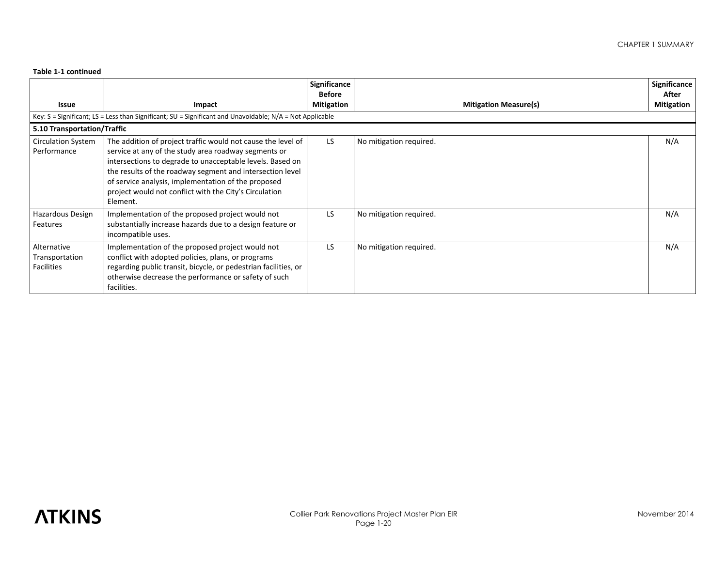|                                                    |                                                                                                                                                                                                                                                                                                                                                                             | Significance<br><b>Before</b> |                              | Significance<br>After |  |  |  |  |
|----------------------------------------------------|-----------------------------------------------------------------------------------------------------------------------------------------------------------------------------------------------------------------------------------------------------------------------------------------------------------------------------------------------------------------------------|-------------------------------|------------------------------|-----------------------|--|--|--|--|
| Issue                                              | Impact                                                                                                                                                                                                                                                                                                                                                                      | <b>Mitigation</b>             | <b>Mitigation Measure(s)</b> | <b>Mitigation</b>     |  |  |  |  |
|                                                    | Key: $S =$ Significant; LS = Less than Significant; SU = Significant and Unavoidable; N/A = Not Applicable                                                                                                                                                                                                                                                                  |                               |                              |                       |  |  |  |  |
| 5.10 Transportation/Traffic                        |                                                                                                                                                                                                                                                                                                                                                                             |                               |                              |                       |  |  |  |  |
| <b>Circulation System</b><br>Performance           | The addition of project traffic would not cause the level of<br>service at any of the study area roadway segments or<br>intersections to degrade to unacceptable levels. Based on<br>the results of the roadway segment and intersection level<br>of service analysis, implementation of the proposed<br>project would not conflict with the City's Circulation<br>Element. | LS.                           | No mitigation required.      | N/A                   |  |  |  |  |
| Hazardous Design<br>Features                       | Implementation of the proposed project would not<br>substantially increase hazards due to a design feature or<br>incompatible uses.                                                                                                                                                                                                                                         | LS                            | No mitigation required.      | N/A                   |  |  |  |  |
| Alternative<br>Transportation<br><b>Facilities</b> | Implementation of the proposed project would not<br>conflict with adopted policies, plans, or programs<br>regarding public transit, bicycle, or pedestrian facilities, or<br>otherwise decrease the performance or safety of such<br>facilities.                                                                                                                            | <b>LS</b>                     | No mitigation required.      | N/A                   |  |  |  |  |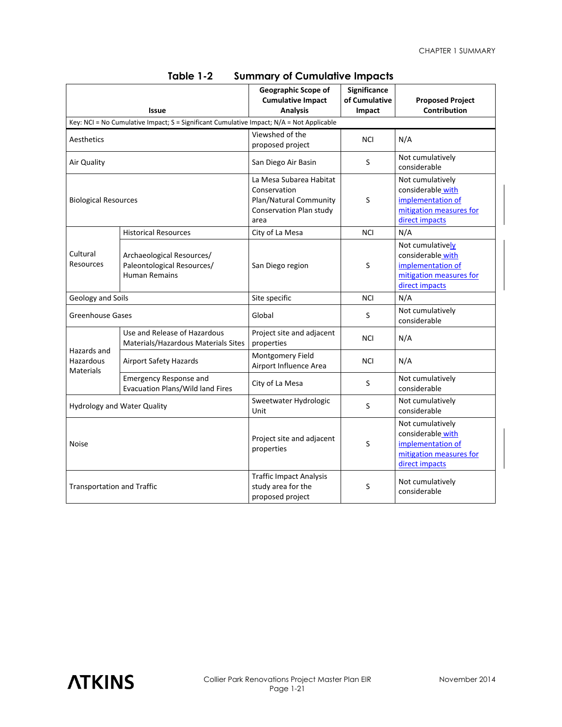| <b>Issue</b>                                                                             |                                                                                 | Geographic Scope of<br><b>Cumulative Impact</b><br><b>Analysis</b>                                   | Significance<br>of Cumulative<br>Impact | <b>Proposed Project</b><br>Contribution                                                                 |  |  |  |  |
|------------------------------------------------------------------------------------------|---------------------------------------------------------------------------------|------------------------------------------------------------------------------------------------------|-----------------------------------------|---------------------------------------------------------------------------------------------------------|--|--|--|--|
| Key: NCI = No Cumulative Impact; S = Significant Cumulative Impact; N/A = Not Applicable |                                                                                 |                                                                                                      |                                         |                                                                                                         |  |  |  |  |
| Aesthetics                                                                               |                                                                                 | Viewshed of the<br>proposed project                                                                  | <b>NCI</b>                              | N/A                                                                                                     |  |  |  |  |
| Air Quality                                                                              |                                                                                 | San Diego Air Basin                                                                                  | S                                       | Not cumulatively<br>considerable                                                                        |  |  |  |  |
| <b>Biological Resources</b>                                                              |                                                                                 | La Mesa Subarea Habitat<br>Conservation<br>Plan/Natural Community<br>Conservation Plan study<br>area | S                                       | Not cumulatively<br>considerable with<br>implementation of<br>mitigation measures for<br>direct impacts |  |  |  |  |
|                                                                                          | <b>Historical Resources</b>                                                     | City of La Mesa                                                                                      | <b>NCI</b>                              | N/A                                                                                                     |  |  |  |  |
| Cultural<br>Resources                                                                    | Archaeological Resources/<br>Paleontological Resources/<br><b>Human Remains</b> | San Diego region                                                                                     | S                                       | Not cumulatively<br>considerable with<br>implementation of<br>mitigation measures for<br>direct impacts |  |  |  |  |
| Geology and Soils                                                                        |                                                                                 | Site specific                                                                                        | <b>NCI</b>                              | N/A                                                                                                     |  |  |  |  |
| <b>Greenhouse Gases</b>                                                                  |                                                                                 | Global                                                                                               | S                                       | Not cumulatively<br>considerable                                                                        |  |  |  |  |
|                                                                                          | Use and Release of Hazardous<br>Materials/Hazardous Materials Sites             | Project site and adjacent<br>properties                                                              | NCI                                     | N/A                                                                                                     |  |  |  |  |
| Hazards and<br>Hazardous<br><b>Materials</b>                                             | <b>Airport Safety Hazards</b>                                                   | Montgomery Field<br>Airport Influence Area                                                           | NCI                                     | N/A                                                                                                     |  |  |  |  |
|                                                                                          | <b>Emergency Response and</b><br><b>Evacuation Plans/Wild land Fires</b>        | City of La Mesa                                                                                      | S                                       | Not cumulatively<br>considerable                                                                        |  |  |  |  |
| <b>Hydrology and Water Quality</b>                                                       |                                                                                 | Sweetwater Hydrologic<br>Unit                                                                        | S                                       | Not cumulatively<br>considerable                                                                        |  |  |  |  |
| <b>Noise</b>                                                                             |                                                                                 | Project site and adjacent<br>properties                                                              | S                                       | Not cumulatively<br>considerable with<br>implementation of<br>mitigation measures for<br>direct impacts |  |  |  |  |
| <b>Transportation and Traffic</b>                                                        |                                                                                 | <b>Traffic Impact Analysis</b><br>study area for the<br>proposed project                             | S                                       | Not cumulatively<br>considerable                                                                        |  |  |  |  |

### **Table 1-2 Summary of Cumulative Impacts**

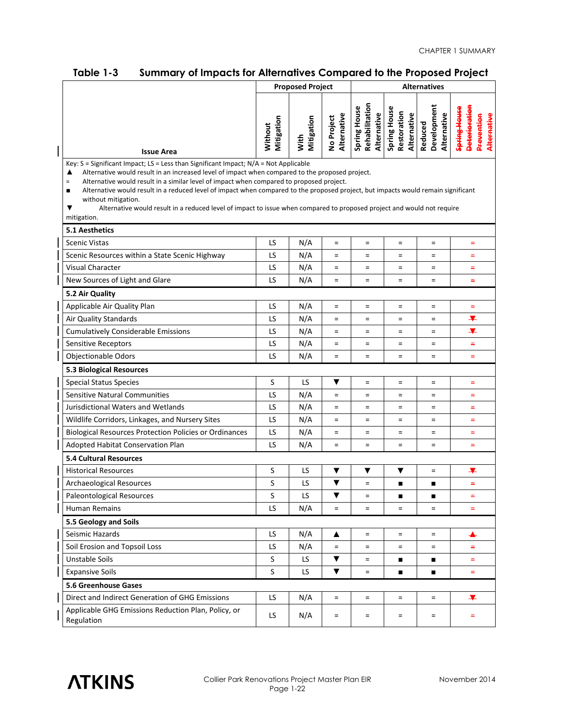| יטאו <b>בי</b>                                                                                                                                                                                                                                                                                                                                                                                                                                                                                                                                                                                                            | <b>Proposed Project</b> |                    | summury or impucts for Allemanyes Computed to the Froposed Froject<br><b>Alternatives</b> |                                               |                                                   |                                       |                                                                   |
|---------------------------------------------------------------------------------------------------------------------------------------------------------------------------------------------------------------------------------------------------------------------------------------------------------------------------------------------------------------------------------------------------------------------------------------------------------------------------------------------------------------------------------------------------------------------------------------------------------------------------|-------------------------|--------------------|-------------------------------------------------------------------------------------------|-----------------------------------------------|---------------------------------------------------|---------------------------------------|-------------------------------------------------------------------|
|                                                                                                                                                                                                                                                                                                                                                                                                                                                                                                                                                                                                                           |                         |                    |                                                                                           |                                               |                                                   |                                       |                                                                   |
| <b>Issue Area</b>                                                                                                                                                                                                                                                                                                                                                                                                                                                                                                                                                                                                         | Mitigation<br>Without   | Mitigation<br>With | Alternative<br>No Project                                                                 | Rehabilitation<br>Spring House<br>Alternative | <b>Spring House</b><br>Restoration<br>Alternative | Reduced<br>Development<br>Alternative | <b>Deterioration</b><br>Spring House<br>Alternative<br>Prevention |
| Key: $S =$ Significant Impact; $LS =$ Less than Significant Impact; $N/A =$ Not Applicable<br>Alternative would result in an increased level of impact when compared to the proposed project.<br>▲<br>Alternative would result in a similar level of impact when compared to proposed project.<br>$\equiv$<br>Alternative would result in a reduced level of impact when compared to the proposed project, but impacts would remain significant<br>п<br>without mitigation.<br>Alternative would result in a reduced level of impact to issue when compared to proposed project and would not require<br>▼<br>mitigation. |                         |                    |                                                                                           |                                               |                                                   |                                       |                                                                   |
| <b>5.1 Aesthetics</b>                                                                                                                                                                                                                                                                                                                                                                                                                                                                                                                                                                                                     |                         |                    |                                                                                           |                                               |                                                   |                                       |                                                                   |
| <b>Scenic Vistas</b>                                                                                                                                                                                                                                                                                                                                                                                                                                                                                                                                                                                                      | LS                      | N/A                | $=$                                                                                       | $\equiv$                                      | $\equiv$                                          | $\equiv$                              | $\equiv$                                                          |
| Scenic Resources within a State Scenic Highway                                                                                                                                                                                                                                                                                                                                                                                                                                                                                                                                                                            | LS                      | N/A                | $=$                                                                                       | $=$                                           | $=$                                               | $\equiv$                              | $\equiv$                                                          |
| <b>Visual Character</b>                                                                                                                                                                                                                                                                                                                                                                                                                                                                                                                                                                                                   | LS                      | N/A                | $\quad =$                                                                                 | $\quad =$                                     | $=$                                               | $\equiv$                              | Ξ                                                                 |
| New Sources of Light and Glare                                                                                                                                                                                                                                                                                                                                                                                                                                                                                                                                                                                            | LS                      | N/A                | $=$                                                                                       | $\quad =$                                     | $=$                                               | $\equiv$                              | $\equiv$                                                          |
| 5.2 Air Quality                                                                                                                                                                                                                                                                                                                                                                                                                                                                                                                                                                                                           |                         |                    |                                                                                           |                                               |                                                   |                                       |                                                                   |
| Applicable Air Quality Plan                                                                                                                                                                                                                                                                                                                                                                                                                                                                                                                                                                                               | LS                      | N/A                | $\equiv$                                                                                  | $\equiv$                                      | $\equiv$                                          | $\equiv$                              | $\equiv$                                                          |
| Air Quality Standards                                                                                                                                                                                                                                                                                                                                                                                                                                                                                                                                                                                                     | LS                      | N/A                | $\quad =$                                                                                 | $=$                                           | $=$                                               | $=$                                   | ¥                                                                 |
| <b>Cumulatively Considerable Emissions</b>                                                                                                                                                                                                                                                                                                                                                                                                                                                                                                                                                                                | LS                      | N/A                | $=$                                                                                       | $=$                                           | $=$                                               | $=$                                   | ¥                                                                 |
| Sensitive Receptors                                                                                                                                                                                                                                                                                                                                                                                                                                                                                                                                                                                                       | LS                      | N/A                | $=$                                                                                       | $=$                                           | $=$                                               | $=$                                   | $\equiv$                                                          |
| <b>Objectionable Odors</b>                                                                                                                                                                                                                                                                                                                                                                                                                                                                                                                                                                                                | LS                      | N/A                | $=$                                                                                       | $\quad =$                                     | $=$                                               | $=$                                   | $\equiv$                                                          |
| 5.3 Biological Resources                                                                                                                                                                                                                                                                                                                                                                                                                                                                                                                                                                                                  |                         |                    |                                                                                           |                                               |                                                   |                                       |                                                                   |
| <b>Special Status Species</b>                                                                                                                                                                                                                                                                                                                                                                                                                                                                                                                                                                                             | S                       | LS.                | ▼                                                                                         | $=$                                           | $\equiv$                                          | $\equiv$                              | $\equiv$                                                          |
| <b>Sensitive Natural Communities</b>                                                                                                                                                                                                                                                                                                                                                                                                                                                                                                                                                                                      | LS                      | N/A                | $=$                                                                                       | $=$                                           | $=$                                               | $=$                                   | $\equiv$                                                          |
| Jurisdictional Waters and Wetlands                                                                                                                                                                                                                                                                                                                                                                                                                                                                                                                                                                                        | LS                      | N/A                | $=$                                                                                       | $=$                                           | $=$                                               | $=$                                   | -                                                                 |
| Wildlife Corridors, Linkages, and Nursery Sites                                                                                                                                                                                                                                                                                                                                                                                                                                                                                                                                                                           | LS                      | N/A                | $=$                                                                                       | $=$                                           | $=$                                               | $=$                                   | $=$                                                               |
| <b>Biological Resources Protection Policies or Ordinances</b>                                                                                                                                                                                                                                                                                                                                                                                                                                                                                                                                                             | LS                      | N/A                | $=$                                                                                       | $=$                                           | $=$                                               | $=$                                   | $\equiv$                                                          |
| Adopted Habitat Conservation Plan                                                                                                                                                                                                                                                                                                                                                                                                                                                                                                                                                                                         | LS                      | N/A                | $=$                                                                                       | $\quad =$                                     | $=$                                               | $=$                                   | $=$                                                               |
| <b>5.4 Cultural Resources</b>                                                                                                                                                                                                                                                                                                                                                                                                                                                                                                                                                                                             |                         |                    |                                                                                           |                                               |                                                   |                                       |                                                                   |
| <b>Historical Resources</b>                                                                                                                                                                                                                                                                                                                                                                                                                                                                                                                                                                                               | S                       | LS                 | ▼                                                                                         | ▼                                             | ▼                                                 | $=$                                   | ¥                                                                 |
| Archaeological Resources                                                                                                                                                                                                                                                                                                                                                                                                                                                                                                                                                                                                  | S                       | LS                 | ▼                                                                                         | $=$                                           |                                                   | п                                     | $\equiv$                                                          |
| Paleontological Resources                                                                                                                                                                                                                                                                                                                                                                                                                                                                                                                                                                                                 | S                       | LS                 | $\blacktriangledown$                                                                      | $\equiv$                                      | $\blacksquare$                                    | $\blacksquare$                        | $\equiv$                                                          |
| <b>Human Remains</b>                                                                                                                                                                                                                                                                                                                                                                                                                                                                                                                                                                                                      |                         | N/A                | $=$                                                                                       | $=$                                           | $=$                                               | $=$                                   | $\equiv$                                                          |
| 5.5 Geology and Soils                                                                                                                                                                                                                                                                                                                                                                                                                                                                                                                                                                                                     |                         |                    |                                                                                           |                                               |                                                   |                                       |                                                                   |
| Seismic Hazards                                                                                                                                                                                                                                                                                                                                                                                                                                                                                                                                                                                                           | LS                      | N/A                | ▲                                                                                         | $\equiv$                                      | $\equiv$                                          | $\equiv$                              | ▴                                                                 |
| Soil Erosion and Topsoil Loss                                                                                                                                                                                                                                                                                                                                                                                                                                                                                                                                                                                             | LS                      | N/A                | $=$                                                                                       | $=$                                           | $=$                                               | $=$                                   | $\equiv$                                                          |
| <b>Unstable Soils</b>                                                                                                                                                                                                                                                                                                                                                                                                                                                                                                                                                                                                     |                         | LS.                | $\blacktriangledown$                                                                      | $=$                                           | п                                                 | п                                     | $\equiv$                                                          |
| <b>Expansive Soils</b>                                                                                                                                                                                                                                                                                                                                                                                                                                                                                                                                                                                                    |                         | LS                 | ▼                                                                                         | $\quad =$                                     | п                                                 |                                       | $\equiv$                                                          |
| <b>5.6 Greenhouse Gases</b>                                                                                                                                                                                                                                                                                                                                                                                                                                                                                                                                                                                               |                         |                    |                                                                                           |                                               |                                                   |                                       |                                                                   |
| Direct and Indirect Generation of GHG Emissions                                                                                                                                                                                                                                                                                                                                                                                                                                                                                                                                                                           | LS                      | N/A                | $\quad =$                                                                                 | $\quad =$                                     | $\equiv$                                          | $\equiv$                              | ¥                                                                 |
| Applicable GHG Emissions Reduction Plan, Policy, or<br>Regulation                                                                                                                                                                                                                                                                                                                                                                                                                                                                                                                                                         | LS.                     | N/A                | $\quad =$                                                                                 | $\quad =$                                     | $=$                                               | $\equiv$                              | -                                                                 |

### **Table 1-3 Summary of Impacts for Alternatives Compared to the Proposed Project**



 $\overline{\phantom{a}}$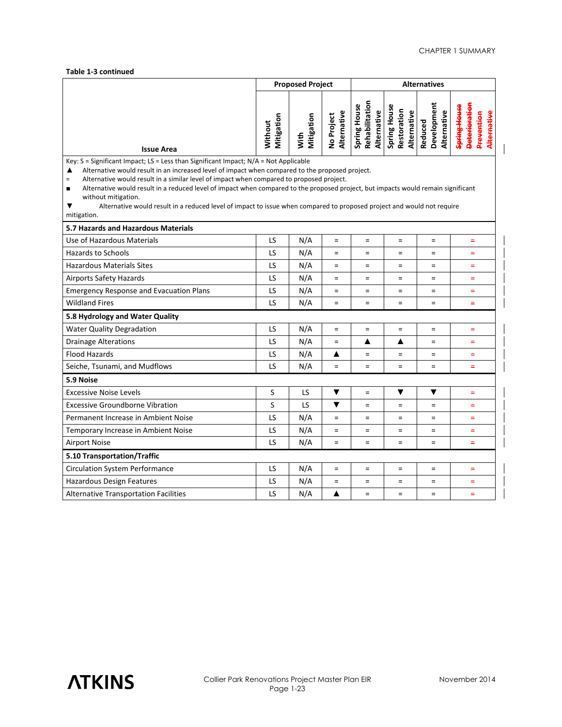|                                                                                                                                                                                                                                                                                                                                                                                                                                                                                                                                                                                                                  | <b>Proposed Project</b> |                    | <b>Alternatives</b>       |                                               |                                            |                                       |                                                           |  |
|------------------------------------------------------------------------------------------------------------------------------------------------------------------------------------------------------------------------------------------------------------------------------------------------------------------------------------------------------------------------------------------------------------------------------------------------------------------------------------------------------------------------------------------------------------------------------------------------------------------|-------------------------|--------------------|---------------------------|-----------------------------------------------|--------------------------------------------|---------------------------------------|-----------------------------------------------------------|--|
| <b>Issue Area</b>                                                                                                                                                                                                                                                                                                                                                                                                                                                                                                                                                                                                | Mitigation<br>Without   | Mitigation<br>With | Alternative<br>No Project | Rehabilitation<br>Spring House<br>Alternative | Spring House<br>Restoration<br>Alternative | Development<br>Alternative<br>Reduced | Spring House<br>Deterioratio<br>Alternative<br>Prevention |  |
| Key: $S =$ Significant Impact; LS = Less than Significant Impact; $N/A = Not$ Applicable<br>Alternative would result in an increased level of impact when compared to the proposed project.<br>▲<br>Alternative would result in a similar level of impact when compared to proposed project.<br>$=$<br>Alternative would result in a reduced level of impact when compared to the proposed project, but impacts would remain significant<br>$\blacksquare$<br>without mitigation.<br>▼<br>Alternative would result in a reduced level of impact to issue when compared to proposed project and would not require |                         |                    |                           |                                               |                                            |                                       |                                                           |  |
| mitigation.<br>5.7 Hazards and Hazardous Materials                                                                                                                                                                                                                                                                                                                                                                                                                                                                                                                                                               |                         |                    |                           |                                               |                                            |                                       |                                                           |  |
| Use of Hazardous Materials                                                                                                                                                                                                                                                                                                                                                                                                                                                                                                                                                                                       | LS                      | N/A                | $=$                       | $\equiv$                                      | $=$                                        | $=$                                   | $\equiv$                                                  |  |
| <b>Hazards to Schools</b>                                                                                                                                                                                                                                                                                                                                                                                                                                                                                                                                                                                        | LS                      | N/A                | $\equiv$                  | $=$                                           | $=$                                        | $=$                                   | Ξ                                                         |  |
| <b>Hazardous Materials Sites</b>                                                                                                                                                                                                                                                                                                                                                                                                                                                                                                                                                                                 | LS                      | N/A                | $\equiv$                  | $=$                                           | $=$                                        | $=$                                   | $\equiv$                                                  |  |
| <b>Airports Safety Hazards</b>                                                                                                                                                                                                                                                                                                                                                                                                                                                                                                                                                                                   | LS                      | N/A                | $\equiv$                  | $\equiv$                                      | $=$                                        | $\quad =$                             | $\equiv$                                                  |  |
| <b>Emergency Response and Evacuation Plans</b>                                                                                                                                                                                                                                                                                                                                                                                                                                                                                                                                                                   | LS                      | N/A                | $\equiv$                  | $\equiv$                                      | $=$                                        | $=$                                   | $=$                                                       |  |
| <b>Wildland Fires</b>                                                                                                                                                                                                                                                                                                                                                                                                                                                                                                                                                                                            | LS                      | N/A                | $\equiv$                  | $\equiv$                                      | $=$                                        | $=$                                   | Ξ                                                         |  |
| 5.8 Hydrology and Water Quality                                                                                                                                                                                                                                                                                                                                                                                                                                                                                                                                                                                  |                         |                    |                           |                                               |                                            |                                       |                                                           |  |
| <b>Water Quality Degradation</b>                                                                                                                                                                                                                                                                                                                                                                                                                                                                                                                                                                                 | LS                      | N/A                | $\equiv$                  | $\equiv$                                      | $=$                                        | $=$                                   | $=$                                                       |  |
| <b>Drainage Alterations</b>                                                                                                                                                                                                                                                                                                                                                                                                                                                                                                                                                                                      | LS                      | N/A                | $\equiv$                  | ▲                                             | ▲                                          | $=$                                   | $=$                                                       |  |
| <b>Flood Hazards</b>                                                                                                                                                                                                                                                                                                                                                                                                                                                                                                                                                                                             | LS                      | N/A                | ▲                         | $\equiv$                                      | $=$                                        | $=$                                   | $\equiv$                                                  |  |
| Seiche, Tsunami, and Mudflows                                                                                                                                                                                                                                                                                                                                                                                                                                                                                                                                                                                    | LS                      | N/A                | $=$                       | $\equiv$                                      | $=$                                        | $=$                                   | Ξ                                                         |  |
| 5.9 Noise                                                                                                                                                                                                                                                                                                                                                                                                                                                                                                                                                                                                        |                         |                    |                           |                                               |                                            |                                       |                                                           |  |
| <b>Excessive Noise Levels</b>                                                                                                                                                                                                                                                                                                                                                                                                                                                                                                                                                                                    | S                       | LS                 | ▼                         | $\equiv$                                      | ▼                                          | ▼                                     | $\equiv$                                                  |  |
| <b>Excessive Groundborne Vibration</b>                                                                                                                                                                                                                                                                                                                                                                                                                                                                                                                                                                           | S                       | LS                 | ▼                         | $\equiv$                                      | $=$                                        | $=$                                   | $=$                                                       |  |
| Permanent Increase in Ambient Noise                                                                                                                                                                                                                                                                                                                                                                                                                                                                                                                                                                              | LS                      | N/A                | $\equiv$                  | $\equiv$                                      | $=$                                        | $=$                                   | $=$                                                       |  |
| Temporary Increase in Ambient Noise                                                                                                                                                                                                                                                                                                                                                                                                                                                                                                                                                                              | LS                      | N/A                | $\equiv$                  | $\equiv$                                      | $=$                                        | $=$                                   | $=$                                                       |  |
| <b>Airport Noise</b>                                                                                                                                                                                                                                                                                                                                                                                                                                                                                                                                                                                             |                         | N/A                | $=$                       | $\equiv$                                      | $=$                                        | $=$                                   | $=$                                                       |  |
| 5.10 Transportation/Traffic                                                                                                                                                                                                                                                                                                                                                                                                                                                                                                                                                                                      |                         |                    |                           |                                               |                                            |                                       |                                                           |  |
| <b>Circulation System Performance</b>                                                                                                                                                                                                                                                                                                                                                                                                                                                                                                                                                                            | LS                      | N/A                | $\equiv$                  | $=$                                           | $=$                                        | $=$                                   | $=$                                                       |  |
| Hazardous Design Features                                                                                                                                                                                                                                                                                                                                                                                                                                                                                                                                                                                        | LS                      | N/A                | $\equiv$                  | $\equiv$                                      | $=$                                        | $=$                                   | $\equiv$                                                  |  |
| <b>Alternative Transportation Facilities</b>                                                                                                                                                                                                                                                                                                                                                                                                                                                                                                                                                                     | LS                      | N/A                | ▲                         | $\equiv$                                      | $=$                                        | $=$                                   | $=$                                                       |  |